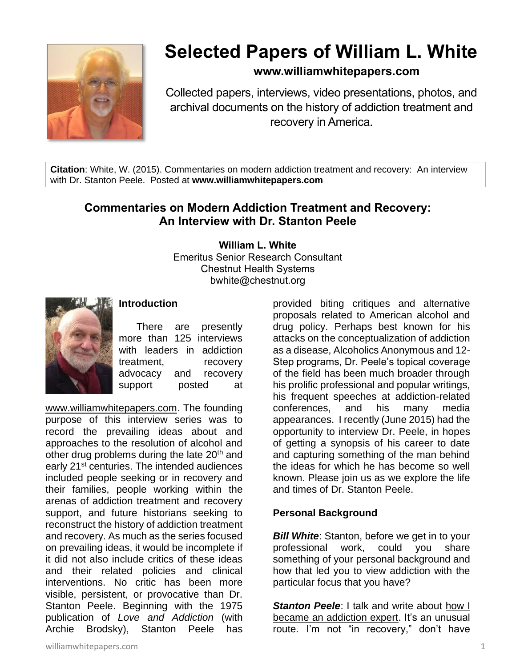

# **Selected Papers of William L. White**

## **www.williamwhitepapers.com**

Collected papers, interviews, video presentations, photos, and archival documents on the history of addiction treatment and recovery in America.

**Citation**: White, W. (2015). Commentaries on modern addiction treatment and recovery: An interview with Dr. Stanton Peele. Posted at **www.williamwhitepapers.com**

# **Commentaries on Modern Addiction Treatment and Recovery: An Interview with Dr. Stanton Peele**

**William L. White**

Emeritus Senior Research Consultant Chestnut Health Systems bwhite@chestnut.org



## **Introduction**

There are presently more than 125 interviews with leaders in addiction treatment, recovery advocacy and recovery support posted at

[www.williamwhitepapers.com.](http://www.williamwhitepapers.com/) The founding purpose of this interview series was to record the prevailing ideas about and approaches to the resolution of alcohol and other drug problems during the late 20<sup>th</sup> and early 21<sup>st</sup> centuries. The intended audiences included people seeking or in recovery and their families, people working within the arenas of addiction treatment and recovery support, and future historians seeking to reconstruct the history of addiction treatment and recovery. As much as the series focused on prevailing ideas, it would be incomplete if it did not also include critics of these ideas and their related policies and clinical interventions. No critic has been more visible, persistent, or provocative than Dr. Stanton Peele. Beginning with the 1975 publication of *Love and Addiction* (with Archie Brodsky), Stanton Peele has

provided biting critiques and alternative proposals related to American alcohol and drug policy. Perhaps best known for his attacks on the conceptualization of addiction as a disease, Alcoholics Anonymous and 12- Step programs, Dr. Peele's topical coverage of the field has been much broader through his prolific professional and popular writings, his frequent speeches at addiction-related conferences, and his many media appearances. I recently (June 2015) had the opportunity to interview Dr. Peele, in hopes of getting a synopsis of his career to date and capturing something of the man behind the ideas for which he has become so well known. Please join us as we explore the life and times of Dr. Stanton Peele.

#### **Personal Background**

**Bill White:** Stanton, before we get in to your professional work, could you share something of your personal background and how that led you to view addiction with the particular focus that you have?

**Stanton Peele:** I talk and write about how I [became an addiction expert.](http://www.thefix.com/content/how-i-became-addiction-expert) It's an unusual route. I'm not "in recovery," don't have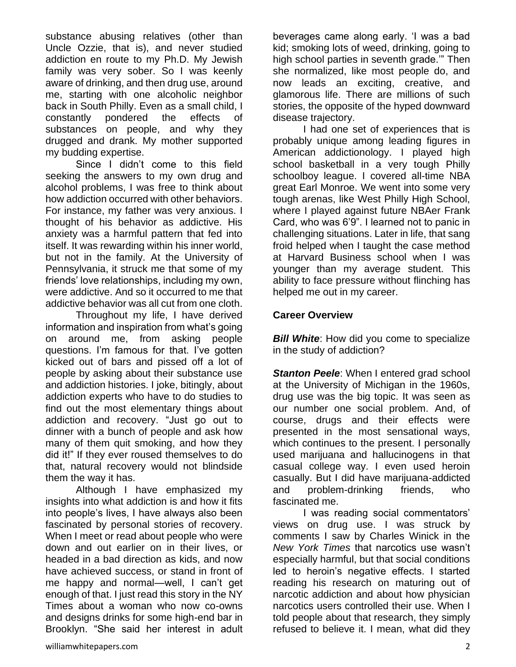substance abusing relatives (other than Uncle Ozzie, that is), and never studied addiction en route to my Ph.D. My Jewish family was very sober. So I was keenly aware of drinking, and then drug use, around me, starting with one alcoholic neighbor back in South Philly. Even as a small child, I constantly pondered the effects of substances on people, and why they drugged and drank. My mother supported my budding expertise.

Since I didn't come to this field seeking the answers to my own drug and alcohol problems, I was free to think about how addiction occurred with other behaviors. For instance, my father was very anxious. I thought of his behavior as addictive. His anxiety was a harmful pattern that fed into itself. It was rewarding within his inner world, but not in the family. At the University of Pennsylvania, it struck me that some of my friends' love relationships, including my own, were addictive. And so it occurred to me that addictive behavior was all cut from one cloth.

Throughout my life, I have derived information and inspiration from what's going on around me, from asking people questions. I'm famous for that. I've gotten kicked out of bars and pissed off a lot of people by asking about their substance use and addiction histories. I joke, bitingly, about addiction experts who have to do studies to find out the most elementary things about addiction and recovery. "Just go out to dinner with a bunch of people and ask how many of them quit smoking, and how they did it!" If they ever roused themselves to do that, natural recovery would not blindside them the way it has.

Although I have emphasized my insights into what addiction is and how it fits into people's lives, I have always also been fascinated by personal stories of recovery. When I meet or read about people who were down and out earlier on in their lives, or headed in a bad direction as kids, and now have achieved success, or stand in front of me happy and normal—well, I can't get enough of that. I just read this story in the NY Times about a woman who now co-owns and designs drinks for some high-end bar in Brooklyn. "She said her interest in adult beverages came along early. 'I was a bad kid; smoking lots of weed, drinking, going to high school parties in seventh grade.'" Then she normalized, like most people do, and now leads an exciting, creative, and glamorous life. There are millions of such stories, the opposite of the hyped downward disease trajectory.

I had one set of experiences that is probably unique among leading figures in American addictionology. I played high school basketball in a very tough Philly schoolboy league. I covered all-time NBA great Earl Monroe. We went into some very tough arenas, like West Philly High School, where I played against future NBAer Frank Card, who was 6'9". I learned not to panic in challenging situations. Later in life, that sang froid helped when I taught the case method at Harvard Business school when I was younger than my average student. This ability to face pressure without flinching has helped me out in my career.

#### **Career Overview**

**Bill White:** How did you come to specialize in the study of addiction?

**Stanton Peele:** When I entered grad school at the University of Michigan in the 1960s, drug use was the big topic. It was seen as our number one social problem. And, of course, drugs and their effects were presented in the most sensational ways, which continues to the present. I personally used marijuana and hallucinogens in that casual college way. I even used heroin casually. But I did have marijuana-addicted and problem-drinking friends, who fascinated me.

I was reading social commentators' views on drug use. I was struck by comments I saw by Charles Winick in the *New York Times* that narcotics use wasn't especially harmful, but that social conditions led to heroin's negative effects. I started reading his research on maturing out of narcotic addiction and about how physician narcotics users controlled their use. When I told people about that research, they simply refused to believe it. I mean, what did they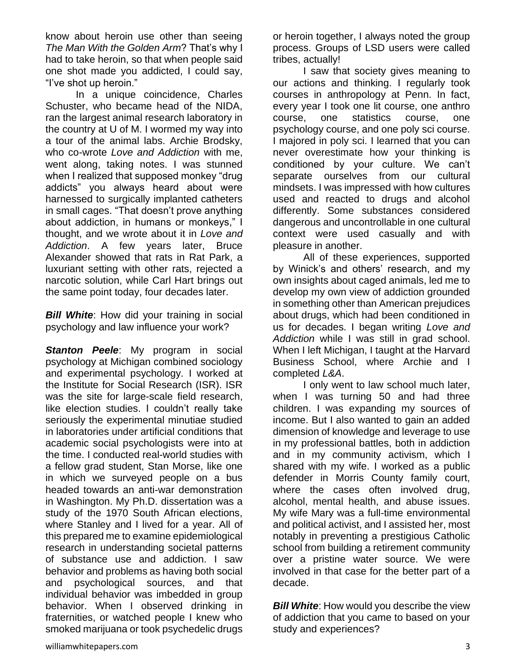know about heroin use other than seeing *The Man With the Golden Arm*? That's why I had to take heroin, so that when people said one shot made you addicted, I could say, "I've shot up heroin."

In a unique coincidence, Charles Schuster, who became head of the NIDA, ran the largest animal research laboratory in the country at U of M. I wormed my way into a tour of the animal labs. Archie Brodsky, who co-wrote *Love and Addiction* with me, went along, taking notes. I was stunned when I realized that supposed monkey "drug addicts" you always heard about were harnessed to surgically implanted catheters in small cages. "That doesn't prove anything about addiction, in humans or monkeys," I thought, and we wrote about it in *Love and Addiction*. A few years later, Bruce Alexander showed that rats in Rat Park, a luxuriant setting with other rats, rejected a narcotic solution, while Carl Hart brings out the same point today, four decades later.

**Bill White:** How did your training in social psychology and law influence your work?

**Stanton Peele**: My program in social psychology at Michigan combined sociology and experimental psychology. I worked at the Institute for Social Research (ISR). ISR was the site for large-scale field research, like election studies. I couldn't really take seriously the experimental minutiae studied in laboratories under artificial conditions that academic social psychologists were into at the time. I conducted real-world studies with a fellow grad student, Stan Morse, like one in which we surveyed people on a bus headed towards an anti-war demonstration in Washington. My Ph.D. dissertation was a study of the 1970 South African elections, where Stanley and I lived for a year. All of this prepared me to examine epidemiological research in understanding societal patterns of substance use and addiction. I saw behavior and problems as having both social and psychological sources, and that individual behavior was imbedded in group behavior. When I observed drinking in fraternities, or watched people I knew who smoked marijuana or took psychedelic drugs

or heroin together, I always noted the group process. Groups of LSD users were called tribes, actually!

I saw that society gives meaning to our actions and thinking. I regularly took courses in anthropology at Penn. In fact, every year I took one lit course, one anthro course, one statistics course, one psychology course, and one poly sci course. I majored in poly sci. I learned that you can never overestimate how your thinking is conditioned by your culture. We can't separate ourselves from our cultural mindsets. I was impressed with how cultures used and reacted to drugs and alcohol differently. Some substances considered dangerous and uncontrollable in one cultural context were used casually and with pleasure in another.

All of these experiences, supported by Winick's and others' research, and my own insights about caged animals, led me to develop my own view of addiction grounded in something other than American prejudices about drugs, which had been conditioned in us for decades. I began writing *Love and Addiction* while I was still in grad school. When I left Michigan, I taught at the Harvard Business School, where Archie and I completed *L&A*.

I only went to law school much later, when I was turning 50 and had three children. I was expanding my sources of income. But I also wanted to gain an added dimension of knowledge and leverage to use in my professional battles, both in addiction and in my community activism, which I shared with my wife. I worked as a public defender in Morris County family court, where the cases often involved drug, alcohol, mental health, and abuse issues. My wife Mary was a full-time environmental and political activist, and I assisted her, most notably in preventing a prestigious Catholic school from building a retirement community over a pristine water source. We were involved in that case for the better part of a decade.

*Bill White:* How would you describe the view of addiction that you came to based on your study and experiences?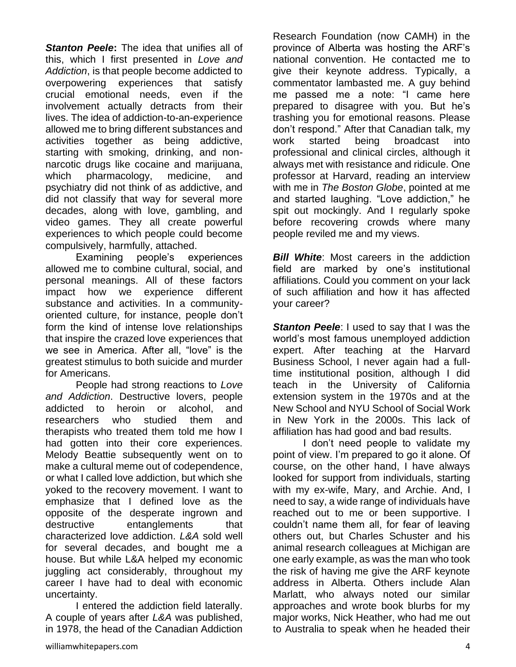*Stanton Peele***:** The idea that unifies all of this, which I first presented in *Love and Addiction*, is that people become addicted to overpowering experiences that satisfy crucial emotional needs, even if the involvement actually detracts from their lives. The idea of addiction-to-an-experience allowed me to bring different substances and activities together as being addictive, starting with smoking, drinking, and nonnarcotic drugs like cocaine and marijuana, which pharmacology, medicine, and psychiatry did not think of as addictive, and did not classify that way for several more decades, along with love, gambling, and video games. They all create powerful experiences to which people could become compulsively, harmfully, attached.

Examining people's experiences allowed me to combine cultural, social, and personal meanings. All of these factors impact how we experience different substance and activities. In a communityoriented culture, for instance, people don't form the kind of intense love relationships that inspire the crazed love experiences that we see in America. After all, "love" is the greatest stimulus to both suicide and murder for Americans.

People had strong reactions to *Love and Addiction*. Destructive lovers, people addicted to heroin or alcohol, and researchers who studied them and therapists who treated them told me how I had gotten into their core experiences. Melody Beattie subsequently went on to make a cultural meme out of codependence, or what I called love addiction, but which she yoked to the recovery movement. I want to emphasize that I defined love as the opposite of the desperate ingrown and destructive entanglements that characterized love addiction. *L&A* sold well for several decades, and bought me a house. But while L&A helped my economic juggling act considerably, throughout my career I have had to deal with economic uncertainty.

I entered the addiction field laterally. A couple of years after *L&A* was published, in 1978, the head of the Canadian Addiction Research Foundation (now CAMH) in the province of Alberta was hosting the ARF's national convention. He contacted me to give their keynote address. Typically, a commentator lambasted me. A guy behind me passed me a note: "I came here prepared to disagree with you. But he's trashing you for emotional reasons. Please don't respond." After that Canadian talk, my work started being broadcast into professional and clinical circles, although it always met with resistance and ridicule. One professor at Harvard, reading an interview with me in *The Boston Globe*, pointed at me and started laughing. "Love addiction," he spit out mockingly. And I regularly spoke before recovering crowds where many people reviled me and my views.

*Bill White*: Most careers in the addiction field are marked by one's institutional affiliations. Could you comment on your lack of such affiliation and how it has affected your career?

**Stanton Peele:** I used to say that I was the world's most famous unemployed addiction expert. After teaching at the Harvard Business School, I never again had a fulltime institutional position, although I did teach in the University of California extension system in the 1970s and at the New School and NYU School of Social Work in New York in the 2000s. This lack of affiliation has had good and bad results.

I don't need people to validate my point of view. I'm prepared to go it alone. Of course, on the other hand, I have always looked for support from individuals, starting with my ex-wife, Mary, and Archie. And, I need to say, a wide range of individuals have reached out to me or been supportive. I couldn't name them all, for fear of leaving others out, but Charles Schuster and his animal research colleagues at Michigan are one early example, as was the man who took the risk of having me give the ARF keynote address in Alberta. Others include Alan Marlatt, who always noted our similar approaches and wrote book blurbs for my major works, Nick Heather, who had me out to Australia to speak when he headed their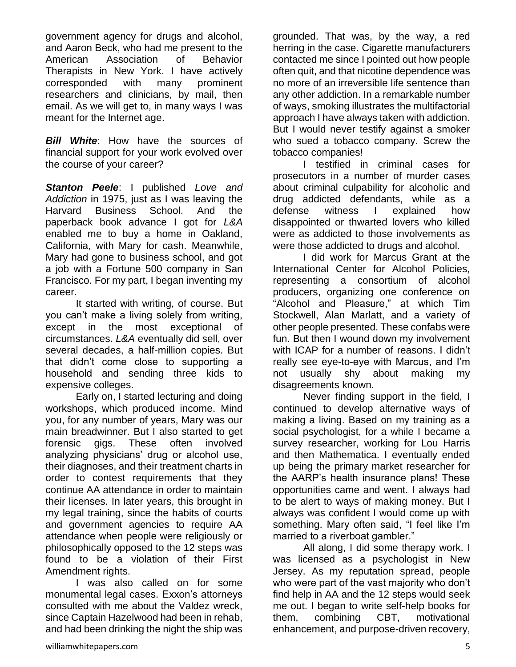government agency for drugs and alcohol, and Aaron Beck, who had me present to the American Association of Behavior Therapists in New York. I have actively corresponded with many prominent researchers and clinicians, by mail, then email. As we will get to, in many ways I was meant for the Internet age.

*Bill White*: How have the sources of financial support for your work evolved over the course of your career?

*Stanton Peele*: I published *Love and Addiction* in 1975, just as I was leaving the Harvard Business School. And the paperback book advance I got for *L&A* enabled me to buy a home in Oakland, California, with Mary for cash. Meanwhile, Mary had gone to business school, and got a job with a Fortune 500 company in San Francisco. For my part, I began inventing my career.

It started with writing, of course. But you can't make a living solely from writing, except in the most exceptional of circumstances. *L&A* eventually did sell, over several decades, a half-million copies. But that didn't come close to supporting a household and sending three kids to expensive colleges.

Early on, I started lecturing and doing workshops, which produced income. Mind you, for any number of years, Mary was our main breadwinner. But I also started to get forensic gigs. These often involved analyzing physicians' drug or alcohol use, their diagnoses, and their treatment charts in order to contest requirements that they continue AA attendance in order to maintain their licenses. In later years, this brought in my legal training, since the habits of courts and government agencies to require AA attendance when people were religiously or philosophically opposed to the 12 steps was found to be a violation of their First Amendment rights.

I was also called on for some monumental legal cases. Exxon's attorneys consulted with me about the Valdez wreck, since Captain Hazelwood had been in rehab, and had been drinking the night the ship was

grounded. That was, by the way, a red herring in the case. Cigarette manufacturers contacted me since I pointed out how people often quit, and that nicotine dependence was no more of an irreversible life sentence than any other addiction. In a remarkable number of ways, smoking illustrates the multifactorial approach I have always taken with addiction. But I would never testify against a smoker who sued a tobacco company. Screw the tobacco companies!

I testified in criminal cases for prosecutors in a number of murder cases about criminal culpability for alcoholic and drug addicted defendants, while as a defense witness I explained how disappointed or thwarted lovers who killed were as addicted to those involvements as were those addicted to drugs and alcohol.

I did work for Marcus Grant at the International Center for Alcohol Policies, representing a consortium of alcohol producers, organizing one conference on "Alcohol and Pleasure," at which Tim Stockwell, Alan Marlatt, and a variety of other people presented. These confabs were fun. But then I wound down my involvement with ICAP for a number of reasons. I didn't really see eye-to-eye with Marcus, and I'm not usually shy about making my disagreements known.

Never finding support in the field, I continued to develop alternative ways of making a living. Based on my training as a social psychologist, for a while I became a survey researcher, working for Lou Harris and then Mathematica. I eventually ended up being the primary market researcher for the AARP's health insurance plans! These opportunities came and went. I always had to be alert to ways of making money. But I always was confident I would come up with something. Mary often said, "I feel like I'm married to a riverboat gambler."

All along, I did some therapy work. I was licensed as a psychologist in New Jersey. As my reputation spread, people who were part of the vast majority who don't find help in AA and the 12 steps would seek me out. I began to write self-help books for them, combining CBT, motivational enhancement, and purpose-driven recovery,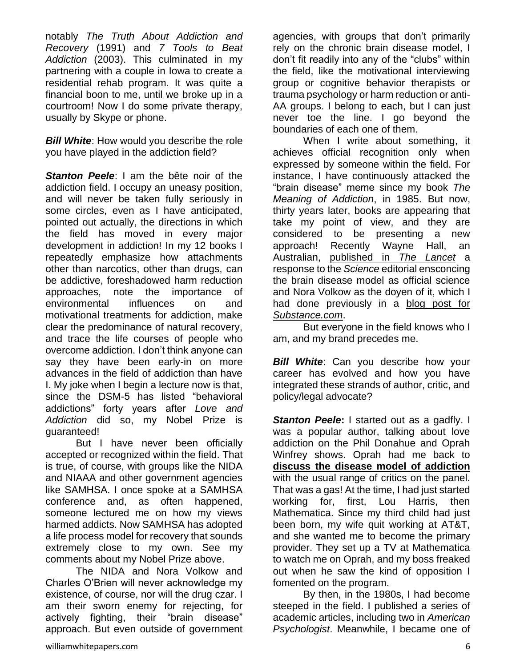notably *The Truth About Addiction and Recovery* (1991) and *7 Tools to Beat Addiction* (2003). This culminated in my partnering with a couple in Iowa to create a residential rehab program. It was quite a financial boon to me, until we broke up in a courtroom! Now I do some private therapy, usually by Skype or phone.

**Bill White:** How would you describe the role you have played in the addiction field?

**Stanton Peele**: I am the bête noir of the addiction field. I occupy an uneasy position, and will never be taken fully seriously in some circles, even as I have anticipated, pointed out actually, the directions in which the field has moved in every major development in addiction! In my 12 books I repeatedly emphasize how attachments other than narcotics, other than drugs, can be addictive, foreshadowed harm reduction approaches, note the importance of environmental influences on and motivational treatments for addiction, make clear the predominance of natural recovery, and trace the life courses of people who overcome addiction. I don't think anyone can say they have been early-in on more advances in the field of addiction than have I. My joke when I begin a lecture now is that, since the DSM-5 has listed "behavioral addictions" forty years after *Love and Addiction* did so, my Nobel Prize is guaranteed!

But I have never been officially accepted or recognized within the field. That is true, of course, with groups like the NIDA and NIAAA and other government agencies like SAMHSA. I once spoke at a SAMHSA conference and, as often happened, someone lectured me on how my views harmed addicts. Now SAMHSA has adopted a life process model for recovery that sounds extremely close to my own. See my comments about my Nobel Prize above.

The NIDA and Nora Volkow and Charles O'Brien will never acknowledge my existence, of course, nor will the drug czar. I am their sworn enemy for rejecting, for actively fighting, their "brain disease" approach. But even outside of government agencies, with groups that don't primarily rely on the chronic brain disease model, I don't fit readily into any of the "clubs" within the field, like the motivational interviewing group or cognitive behavior therapists or trauma psychology or harm reduction or anti-AA groups. I belong to each, but I can just never toe the line. I go beyond the boundaries of each one of them.

When I write about something, it achieves official recognition only when expressed by someone within the field. For instance, I have continuously attacked the "brain disease" meme since my book *The Meaning of Addiction*, in 1985. But now, thirty years later, books are appearing that take my point of view, and they are considered to be presenting a new approach! Recently Wayne Hall, an Australian, [published in](http://www.thelancet.com/journals/lanpsy/article/PIIS2215-0366%2814%2900126-6/abstract) *The Lancet* a response to the *Science* editorial ensconcing the brain disease model as official science and Nora Volkow as the doyen of it, which I had done previously in a [blog post for](http://www.substance.com/stop-nora-volkow-late/2720/)  *[Substance.com](http://www.substance.com/stop-nora-volkow-late/2720/)*.

But everyone in the field knows who I am, and my brand precedes me.

*Bill White*: Can you describe how your career has evolved and how you have integrated these strands of author, critic, and policy/legal advocate?

**Stanton Peele:** I started out as a gadfly. I was a popular author, talking about love addiction on the Phil Donahue and Oprah Winfrey shows. Oprah had me back to **[discuss the disease model of addiction](http://www.peele.net/lib/oprah.html)** with the usual range of critics on the panel. That was a gas! At the time, I had just started working for, first, Lou Harris, then Mathematica. Since my third child had just been born, my wife quit working at AT&T, and she wanted me to become the primary provider. They set up a TV at Mathematica to watch me on Oprah, and my boss freaked out when he saw the kind of opposition I fomented on the program.

By then, in the 1980s, I had become steeped in the field. I published a series of academic articles, including two in *American Psychologist*. Meanwhile, I became one of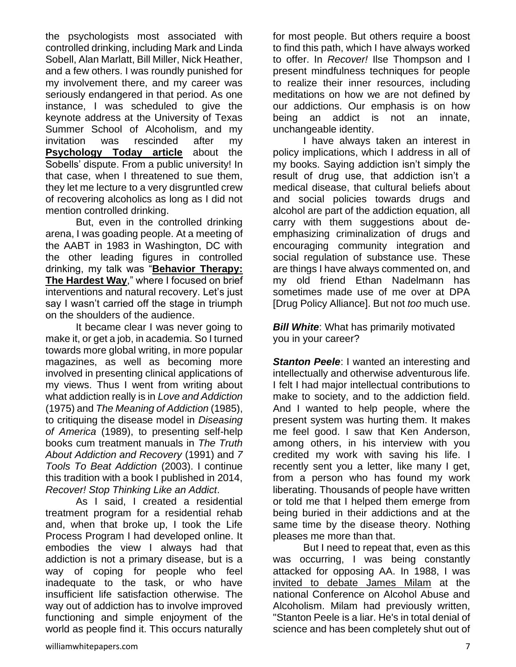the psychologists most associated with controlled drinking, including Mark and Linda Sobell, Alan Marlatt, Bill Miller, Nick Heather, and a few others. I was roundly punished for my involvement there, and my career was seriously endangered in that period. As one instance, I was scheduled to give the keynote address at the University of Texas Summer School of Alcoholism, and my invitation was rescinded after my **[Psychology Today article](http://www.peele.net/lib/glass.html)** about the Sobells' dispute. From a public university! In that case, when I threatened to sue them, they let me lecture to a very disgruntled crew of recovering alcoholics as long as I did not mention controlled drinking.

But, even in the controlled drinking arena, I was goading people. At a meeting of the AABT in 1983 in Washington, DC with the other leading figures in controlled drinking, my talk was "**[Behavior Therapy:](http://www.peele.net/lib/behavior.html)  [The Hardest Way](http://www.peele.net/lib/behavior.html)**," where I focused on brief interventions and natural recovery. Let's just say I wasn't carried off the stage in triumph on the shoulders of the audience.

It became clear I was never going to make it, or get a job, in academia. So I turned towards more global writing, in more popular magazines, as well as becoming more involved in presenting clinical applications of my views. Thus I went from writing about what addiction really is in *Love and Addiction* (1975) and *The Meaning of Addiction* (1985), to critiquing the disease model in *Diseasing of America* (1989), to presenting self-help books cum treatment manuals in *The Truth About Addiction and Recovery* (1991) and *7 Tools To Beat Addiction* (2003). I continue this tradition with a book I published in 2014, *Recover! Stop Thinking Like an Addict*.

As I said, I created a residential treatment program for a residential rehab and, when that broke up, I took the Life Process Program I had developed online. It embodies the view I always had that addiction is not a primary disease, but is a way of coping for people who feel inadequate to the task, or who have insufficient life satisfaction otherwise. The way out of addiction has to involve improved functioning and simple enjoyment of the world as people find it. This occurs naturally for most people. But others require a boost to find this path, which I have always worked to offer. In *Recover!* Ilse Thompson and I present mindfulness techniques for people to realize their inner resources, including meditations on how we are not defined by our addictions. Our emphasis is on how being an addict is not an innate, unchangeable identity.

I have always taken an interest in policy implications, which I address in all of my books. Saying addiction isn't simply the result of drug use, that addiction isn't a medical disease, that cultural beliefs about and social policies towards drugs and alcohol are part of the addiction equation, all carry with them suggestions about deemphasizing criminalization of drugs and encouraging community integration and social regulation of substance use. These are things I have always commented on, and my old friend Ethan Nadelmann has sometimes made use of me over at DPA [Drug Policy Alliance]. But not *too* much use.

*Bill White:* What has primarily motivated you in your career?

**Stanton Peele:** I wanted an interesting and intellectually and otherwise adventurous life. I felt I had major intellectual contributions to make to society, and to the addiction field. And I wanted to help people, where the present system was hurting them. It makes me feel good. I saw that Ken Anderson, among others, in his interview with you credited my work with saving his life. I recently sent you a letter, like many I get, from a person who has found my work liberating. Thousands of people have written or told me that I helped them emerge from being buried in their addictions and at the same time by the disease theory. Nothing pleases me more than that.

But I need to repeat that, even as this was occurring, I was being constantly attacked for opposing AA. In 1988, I was [invited to debate James Milam](http://peele.net/lib/milampeele.html) at the national Conference on Alcohol Abuse and Alcoholism. Milam had previously written, "Stanton Peele is a liar. He's in total denial of science and has been completely shut out of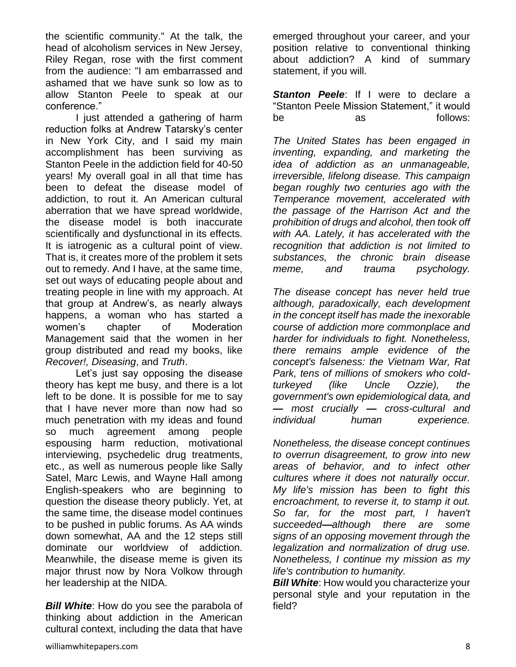the scientific community." At the talk, the head of alcoholism services in New Jersey, Riley Regan, rose with the first comment from the audience: "I am embarrassed and ashamed that we have sunk so low as to allow Stanton Peele to speak at our conference."

I just attended a gathering of harm reduction folks at Andrew Tatarsky's center in New York City, and I said my main accomplishment has been surviving as Stanton Peele in the addiction field for 40-50 years! My overall goal in all that time has been to defeat the disease model of addiction, to rout it. An American cultural aberration that we have spread worldwide, the disease model is both inaccurate scientifically and dysfunctional in its effects. It is iatrogenic as a cultural point of view. That is, it creates more of the problem it sets out to remedy. And I have, at the same time, set out ways of educating people about and treating people in line with my approach. At that group at Andrew's, as nearly always happens, a woman who has started a women's chapter of Moderation Management said that the women in her group distributed and read my books, like *Recover!, Diseasing*, and *Truth*.

Let's just say opposing the disease theory has kept me busy, and there is a lot left to be done. It is possible for me to say that I have never more than now had so much penetration with my ideas and found so much agreement among people espousing harm reduction, motivational interviewing, psychedelic drug treatments, etc., as well as numerous people like Sally Satel, Marc Lewis, and Wayne Hall among English-speakers who are beginning to question the disease theory publicly. Yet, at the same time, the disease model continues to be pushed in public forums. As AA winds down somewhat, AA and the 12 steps still dominate our worldview of addiction. Meanwhile, the disease meme is given its major thrust now by Nora Volkow through her leadership at the NIDA.

*Bill White:* How do you see the parabola of thinking about addiction in the American cultural context, including the data that have

emerged throughout your career, and your position relative to conventional thinking about addiction? A kind of summary statement, if you will.

**Stanton Peele**: If I were to declare a "Stanton Peele Mission Statement," it would be as follows:

*The United States has been engaged in inventing, expanding, and marketing the idea of addiction as an unmanageable, irreversible, lifelong disease. This campaign began roughly two centuries ago with the Temperance movement, accelerated with the passage of the Harrison Act and the prohibition of drugs and alcohol, then took off with AA. Lately, it has accelerated with the recognition that addiction is not limited to substances, the chronic brain disease meme, and trauma psychology.* 

*The disease concept has never held true although, paradoxically, each development in the concept itself has made the inexorable course of addiction more commonplace and harder for individuals to fight. Nonetheless, there remains ample evidence of the concept's falseness: the Vietnam War, Rat Park, tens of millions of smokers who coldturkeyed (like Uncle Ozzie), the government's own epidemiological data, and — most crucially — cross-cultural and individual human experience.* 

*Nonetheless, the disease concept continues to overrun disagreement, to grow into new areas of behavior, and to infect other cultures where it does not naturally occur. My life's mission has been to fight this encroachment, to reverse it, to stamp it out. So far, for the most part, I haven't succeeded—although there are some signs of an opposing movement through the legalization and normalization of drug use. Nonetheless, I continue my mission as my life's contribution to humanity.*

*Bill White:* How would you characterize your personal style and your reputation in the field?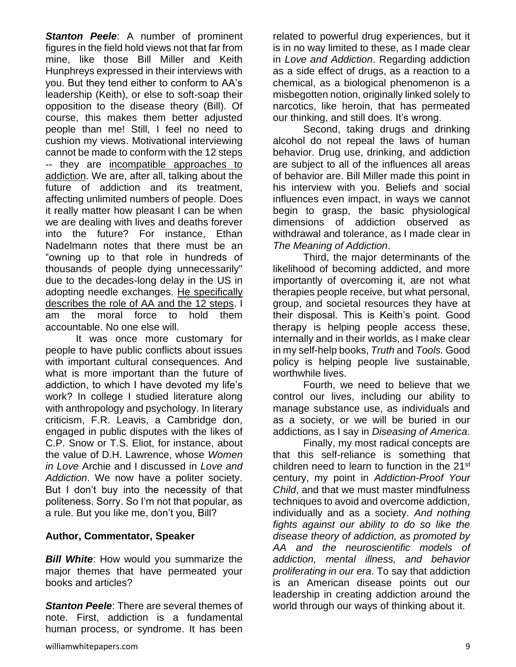*Stanton Peele*: A number of prominent figures in the field hold views not that far from mine, like those Bill Miller and Keith Hunphreys expressed in their interviews with you. But they tend either to conform to AA's leadership (Keith), or else to soft-soap their opposition to the disease theory (Bill). Of course, this makes them better adjusted people than me! Still, I feel no need to cushion my views. Motivational interviewing cannot be made to conform with the 12 steps -- they are [incompatible approaches to](http://www.substance.com/can-we-all-stop-pretending-that-motivational-interviewing-is-compatible-with-the-12-steps/5988/)  [addiction.](http://www.substance.com/can-we-all-stop-pretending-that-motivational-interviewing-is-compatible-with-the-12-steps/5988/) We are, after all, talking about the future of addiction and its treatment, affecting unlimited numbers of people. Does it really matter how pleasant I can be when we are dealing with lives and deaths forever into the future? For instance, Ethan Nadelmann notes that there must be an "owning up to that role in hundreds of thousands of people dying unnecessarily" due to the decades-long delay in the US in adopting needle exchanges. [He specifically](http://www.thefix.com/content/ethan-nadelmann-drug-policy91855)  describes [the role of AA and the 12 steps.](http://www.thefix.com/content/ethan-nadelmann-drug-policy91855) I am the moral force to hold them accountable. No one else will.

It was once more customary for people to have public conflicts about issues with important cultural consequences. And what is more important than the future of addiction, to which I have devoted my life's work? In college I studied literature along with anthropology and psychology. In literary criticism, F.R. Leavis, a Cambridge don, engaged in public disputes with the likes of C.P. Snow or T.S. Eliot, for instance, about the value of D.H. Lawrence, whose *Women in Love* Archie and I discussed in *Love and Addiction*. We now have a politer society. But I don't buy into the necessity of that politeness. Sorry. So I'm not that popular, as a rule. But you like me, don't you, Bill?

#### **Author, Commentator, Speaker**

**Bill White:** How would you summarize the major themes that have permeated your books and articles?

*Stanton Peele*: There are several themes of note. First, addiction is a fundamental human process, or syndrome. It has been related to powerful drug experiences, but it is in no way limited to these, as I made clear in *Love and Addiction*. Regarding addiction as a side effect of drugs, as a reaction to a chemical, as a biological phenomenon is a misbegotten notion, originally linked solely to narcotics, like heroin, that has permeated our thinking, and still does. It's wrong.

Second, taking drugs and drinking alcohol do not repeal the laws of human behavior. Drug use, drinking, and addiction are subject to all of the influences all areas of behavior are. Bill Miller made this point in his interview with you. Beliefs and social influences even impact, in ways we cannot begin to grasp, the basic physiological dimensions of addiction observed as withdrawal and tolerance, as I made clear in *The Meaning of Addiction*.

Third, the major determinants of the likelihood of becoming addicted, and more importantly of overcoming it, are not what therapies people receive, but what personal, group, and societal resources they have at their disposal. This is Keith's point. Good therapy is helping people access these, internally and in their worlds, as I make clear in my self-help books, *Truth* and *Tools.* Good policy is helping people live sustainable, worthwhile lives.

Fourth, we need to believe that we control our lives, including our ability to manage substance use, as individuals and as a society, or we will be buried in our addictions, as I say in *Diseasing of America*.

Finally, my most radical concepts are that this self-reliance is something that children need to learn to function in the 21<sup>st</sup> century, my point in *Addiction-Proof Your Child*, and that we must master mindfulness techniques to avoid and overcome addiction, individually and as a society. *And nothing fights against our ability to do so like the disease theory of addiction, as promoted by AA and the neuroscientific models of addiction, mental illness, and behavior proliferating in our era*. To say that addiction is an American disease points out our leadership in creating addiction around the world through our ways of thinking about it.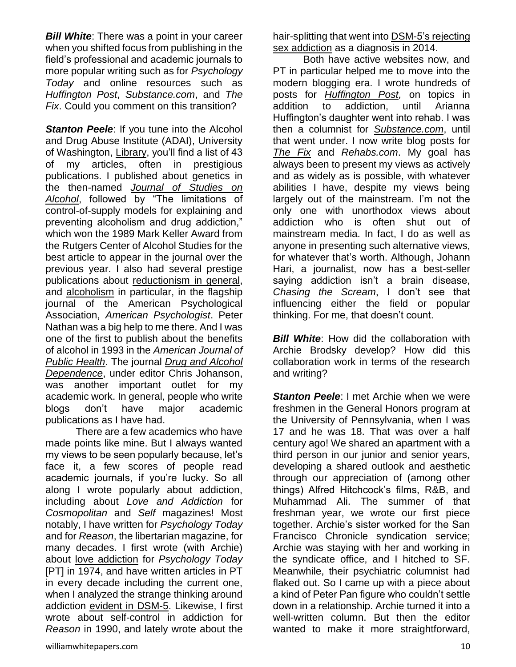*Bill White*: There was a point in your career when you shifted focus from publishing in the field's professional and academic journals to more popular writing such as for *Psychology Today* and online resources such as *Huffington Post*, *Substance.com*, and *The Fix*. Could you comment on this transition?

**Stanton Peele:** If you tune into the Alcohol and Drug Abuse Institute (ADAI), University of Washington, [Library,](http://lib.adai.washington.edu/) you'll find a list of 43 of my articles, often in prestigious publications. I published about genetics in the then-named *[Journal of Studies on](http://www.peele.net/lib/genetics.html)  [Alcohol](http://www.peele.net/lib/genetics.html)*, followed by "The limitations of control-of-supply models for explaining and preventing alcoholism and drug addiction," which won the 1989 Mark Keller Award from the Rutgers Center of Alcohol Studies for the best article to appear in the journal over the previous year. I also had several prestige publications about [reductionism in general,](http://lifeprocessprogram.com/lp-blog/library/reductionism-in-the-psychology-of-the-eighties/) and [alcoholism](http://www.peele.net/lib/approach.html) in particular, in the flagship journal of the American Psychological Association, *American Psychologist*. Peter Nathan was a big help to me there. And I was one of the first to publish about the benefits of alcohol in 1993 in the *[American Journal of](http://ajph.aphapublications.org/doi/abs/10.2105/AJPH.83.6.805)  [Public Health](http://ajph.aphapublications.org/doi/abs/10.2105/AJPH.83.6.805)*. The journal *[Drug and Alcohol](http://www.ncbi.nlm.nih.gov/pubmed/11053757)  [Dependence](http://www.ncbi.nlm.nih.gov/pubmed/11053757)*, under editor Chris Johanson, was another important outlet for my academic work. In general, people who write blogs don't have major academic publications as I have had.

There are a few academics who have made points like mine. But I always wanted my views to be seen popularly because, let's face it, a few scores of people read academic journals, if you're lucky. So all along I wrote popularly about addiction, including about *Love and Addiction* for *Cosmopolitan* and *Self* magazines! Most notably, I have written for *Psychology Today* and for *Reason*, the libertarian magazine, for many decades. I first wrote (with Archie) about [love addiction](http://www.peele.net/lib/love.html) for *Psychology Today* [PT] in 1974, and have written articles in PT in every decade including the current one, when I analyzed the strange thinking around addiction [evident in DSM-5.](https://www.psychologytoday.com/articles/201010/addiction-in-society-blinded-biochemistry) Likewise, I first wrote about self-control in addiction for *Reason* in 1990, and lately wrote about the

hair-splitting that went into [DSM-5's rejecting](http://reason.com/archives/2014/02/26/addicted-to-brain-scans)  [sex addiction](http://reason.com/archives/2014/02/26/addicted-to-brain-scans) as a diagnosis in 2014.

Both have active websites now, and PT in particular helped me to move into the modern blogging era. I wrote hundreds of posts for *[Huffington Post,](http://www.huffingtonpost.com/stanton-peele/)* on topics in addition to addiction, until Arianna Huffington's daughter went into rehab. I was then a columnist for *[Substance.com](http://www.substance.com/author/stanton-peele/)*, until that went under. I now write blog posts for *[The Fix](http://www.thefix.com/content/stanton-peele)* and *Rehabs.com*. My goal has always been to present my views as actively and as widely as is possible, with whatever abilities I have, despite my views being largely out of the mainstream. I'm not the only one with unorthodox views about addiction who is often shut out of mainstream media. In fact, I do as well as anyone in presenting such alternative views, for whatever that's worth. Although, Johann Hari, a journalist, now has a best-seller saying addiction isn't a brain disease, *Chasing the Scream*, I don't see that influencing either the field or popular thinking. For me, that doesn't count.

*Bill White*: How did the collaboration with Archie Brodsky develop? How did this collaboration work in terms of the research and writing?

**Stanton Peele:** I met Archie when we were freshmen in the General Honors program at the University of Pennsylvania, when I was 17 and he was 18. That was over a half century ago! We shared an apartment with a third person in our junior and senior years, developing a shared outlook and aesthetic through our appreciation of (among other things) Alfred Hitchcock's films, R&B, and Muhammad Ali. The summer of that freshman year, we wrote our first piece together. Archie's sister worked for the San Francisco Chronicle syndication service; Archie was staying with her and working in the syndicate office, and I hitched to SF. Meanwhile, their psychiatric columnist had flaked out. So I came up with a piece about a kind of Peter Pan figure who couldn't settle down in a relationship. Archie turned it into a well-written column. But then the editor wanted to make it more straightforward,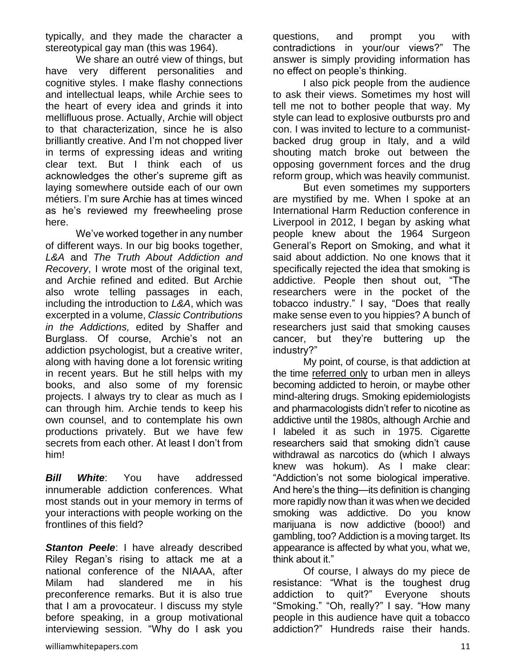typically, and they made the character a stereotypical gay man (this was 1964).

We share an outré view of things, but have very different personalities and cognitive styles. I make flashy connections and intellectual leaps, while Archie sees to the heart of every idea and grinds it into mellifluous prose. Actually, Archie will object to that characterization, since he is also brilliantly creative. And I'm not chopped liver in terms of expressing ideas and writing clear text. But I think each of us acknowledges the other's supreme gift as laying somewhere outside each of our own métiers. I'm sure Archie has at times winced as he's reviewed my freewheeling prose here.

We've worked together in any number of different ways. In our big books together, *L&A* and *The Truth About Addiction and Recovery*, I wrote most of the original text, and Archie refined and edited. But Archie also wrote telling passages in each, including the introduction to *L&A*, which was excerpted in a volume, *Classic Contributions in the Addictions,* edited by Shaffer and Burglass. Of course, Archie's not an addiction psychologist, but a creative writer, along with having done a lot forensic writing in recent years. But he still helps with my books, and also some of my forensic projects. I always try to clear as much as I can through him. Archie tends to keep his own counsel, and to contemplate his own productions privately. But we have few secrets from each other. At least I don't from him!

*Bill White*: You have addressed innumerable addiction conferences. What most stands out in your memory in terms of your interactions with people working on the frontlines of this field?

**Stanton Peele:** I have already described Riley Regan's rising to attack me at a national conference of the NIAAA, after Milam had slandered me in his preconference remarks. But it is also true that I am a provocateur. I discuss my style before speaking, in a group motivational interviewing session. "Why do I ask you questions, and prompt you with contradictions in your/our views?" The answer is simply providing information has no effect on people's thinking.

I also pick people from the audience to ask their views. Sometimes my host will tell me not to bother people that way. My style can lead to explosive outbursts pro and con. I was invited to lecture to a communistbacked drug group in Italy, and a wild shouting match broke out between the opposing government forces and the drug reform group, which was heavily communist.

But even sometimes my supporters are mystified by me. When I spoke at an International Harm Reduction conference in Liverpool in 2012, I began by asking what people knew about the 1964 Surgeon General's Report on Smoking, and what it said about addiction. No one knows that it specifically rejected the idea that smoking is addictive. People then shout out, "The researchers were in the pocket of the tobacco industry." I say, "Does that really make sense even to you hippies? A bunch of researchers just said that smoking causes cancer, but they're buttering up the industry?"

My point, of course, is that addiction at the time [referred only](http://www.substance.com/we-need-to-normalize-drug-use-in-our-society-deal-with-it/13429/) to urban men in alleys becoming addicted to heroin, or maybe other mind-altering drugs. Smoking epidemiologists and pharmacologists didn't refer to nicotine as addictive until the 1980s, although Archie and I labeled it as such in 1975. Cigarette researchers said that smoking didn't cause withdrawal as narcotics do (which I always knew was hokum). As I make clear: "Addiction's not some biological imperative. And here's the thing—its definition is changing more rapidly now than it was when we decided smoking was addictive. Do you know marijuana is now addictive (booo!) and gambling, too? Addiction is a moving target. Its appearance is affected by what you, what we, think about it."

Of course, I always do my piece de resistance: "What is the toughest drug addiction to quit?" Everyone shouts "Smoking." "Oh, really?" I say. "How many people in this audience have quit a tobacco addiction?" Hundreds raise their hands.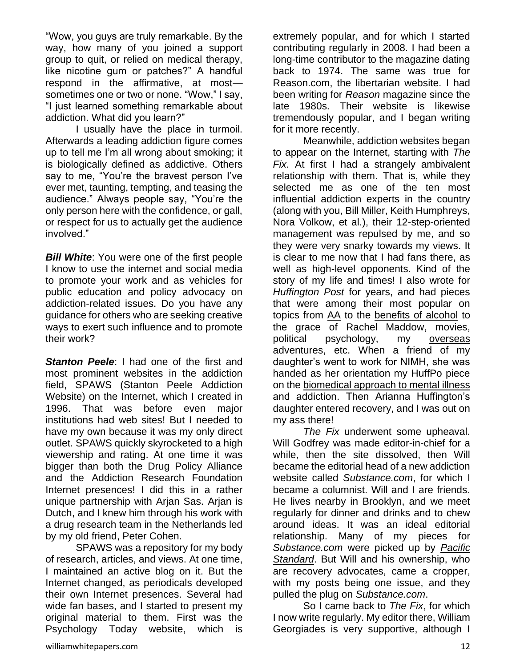"Wow, you guys are truly remarkable. By the way, how many of you joined a support group to quit, or relied on medical therapy, like nicotine gum or patches?" A handful respond in the affirmative, at most sometimes one or two or none. "Wow," I say, "I just learned something remarkable about addiction. What did you learn?"

I usually have the place in turmoil. Afterwards a leading addiction figure comes up to tell me I'm all wrong about smoking; it is biologically defined as addictive. Others say to me, "You're the bravest person I've ever met, taunting, tempting, and teasing the audience." Always people say, "You're the only person here with the confidence, or gall, or respect for us to actually get the audience involved."

*Bill White:* You were one of the first people I know to use the internet and social media to promote your work and as vehicles for public education and policy advocacy on addiction-related issues. Do you have any guidance for others who are seeking creative ways to exert such influence and to promote their work?

**Stanton Peele:** I had one of the first and most prominent websites in the addiction field, SPAWS (Stanton Peele Addiction Website) on the Internet, which I created in 1996. That was before even major institutions had web sites! But I needed to have my own because it was my only direct outlet. SPAWS quickly skyrocketed to a high viewership and rating. At one time it was bigger than both the Drug Policy Alliance and the Addiction Research Foundation Internet presences! I did this in a rather unique partnership with Arjan Sas. Arjan is Dutch, and I knew him through his work with a drug research team in the Netherlands led by my old friend, Peter Cohen.

SPAWS was a repository for my body of research, articles, and views. At one time, I maintained an active blog on it. But the Internet changed, as periodicals developed their own Internet presences. Several had wide fan bases, and I started to present my original material to them. First was the Psychology Today website, which is

extremely popular, and for which I started contributing regularly in 2008. I had been a long-time contributor to the magazine dating back to 1974. The same was true for Reason.com, the libertarian website. I had been writing for *Reason* magazine since the late 1980s. Their website is likewise tremendously popular, and I began writing for it more recently.

Meanwhile, addiction websites began to appear on the Internet, starting with *The Fix*. At first I had a strangely ambivalent relationship with them. That is, while they selected me as one of the ten most influential addiction experts in the country (along with you, Bill Miller, Keith Humphreys, Nora Volkow, et al.), their 12-step-oriented management was repulsed by me, and so they were very snarky towards my views. It is clear to me now that I had fans there, as well as high-level opponents. Kind of the story of my life and times! I also wrote for *Huffington Post* for years, and had pieces that were among their most popular on topics from [AA](http://www.huffingtonpost.com/stanton-peele/problems-with-aa_b_989832.html) to the [benefits of alcohol](http://www.huffingtonpost.com/stanton-peele/the-hidden-health-benefit_b_679321.html) to the grace of [Rachel Maddow,](http://www.huffingtonpost.com/stanton-peele/the-incredible-rachelness_b_646365.html) movies, political psychology, my [overseas](http://www.huffingtonpost.com/stanton-peele/meaning-of-addiction_b_986439.html)  [adventures,](http://www.huffingtonpost.com/stanton-peele/meaning-of-addiction_b_986439.html) etc. When a friend of my daughter's went to work for NIMH, she was handed as her orientation my HuffPo piece on the [biomedical approach to mental illness](http://www.huffingtonpost.com/stanton-peele/addiction-mental-illness-brain-disease_b_876636.html) and addiction. Then Arianna Huffington's daughter entered recovery, and I was out on my ass there!

*The Fix* underwent some upheaval. Will Godfrey was made editor-in-chief for a while, then the site dissolved, then Will became the editorial head of a new addiction website called *Substance.com*, for which I became a columnist. Will and I are friends. He lives nearby in Brooklyn, and we meet regularly for dinner and drinks and to chew around ideas. It was an ideal editorial relationship. Many of my pieces for *Substance.com* were picked up by *[Pacific](http://www.psmag.com/health-and-behavior/future-addiction-stanton-peeles-predictions-next-40-years-83893)  [Standard](http://www.psmag.com/health-and-behavior/future-addiction-stanton-peeles-predictions-next-40-years-83893)*. But Will and his ownership, who are recovery advocates, came a cropper, with my posts being one issue, and they pulled the plug on *Substance.com*.

So I came back to *The Fix*, for which I now write regularly. My editor there, William Georgiades is very supportive, although I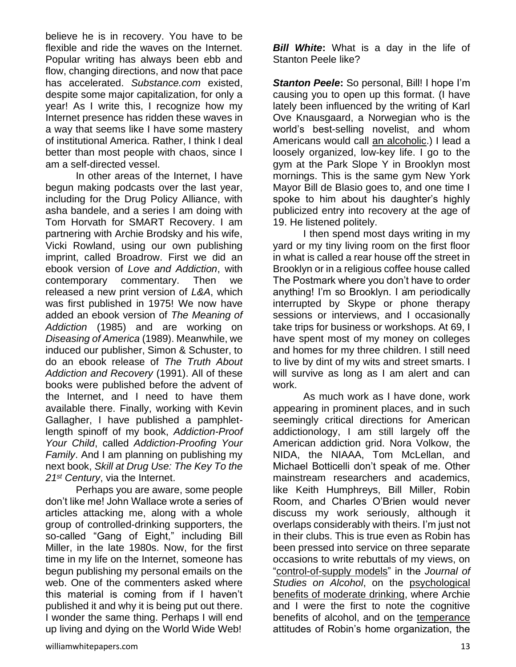believe he is in recovery. You have to be flexible and ride the waves on the Internet. Popular writing has always been ebb and flow, changing directions, and now that pace has accelerated. *Substance.com* existed, despite some major capitalization, for only a year! As I write this, I recognize how my Internet presence has ridden these waves in a way that seems like I have some mastery of institutional America. Rather, I think I deal better than most people with chaos, since I am a self-directed vessel.

In other areas of the Internet, I have begun making podcasts over the last year, including for the Drug Policy Alliance, with asha bandele, and a series I am doing with Tom Horvath for SMART Recovery. I am partnering with Archie Brodsky and his wife, Vicki Rowland, using our own publishing imprint, called Broadrow. First we did an ebook version of *Love and Addiction*, with contemporary commentary. Then we released a new print version of *L&A*, which was first published in 1975! We now have added an ebook version of *The Meaning of Addiction* (1985) and are working on *Diseasing of America* (1989). Meanwhile, we induced our publisher, Simon & Schuster, to do an ebook release of *The Truth About Addiction and Recovery* (1991). All of these books were published before the advent of the Internet, and I need to have them available there. Finally, working with Kevin Gallagher, I have published a pamphletlength spinoff of my book, *Addiction-Proof Your Child*, called *Addiction-Proofing Your Family*. And I am planning on publishing my next book, *Skill at Drug Use: The Key To the 21st Century*, via the Internet.

Perhaps you are aware, some people don't like me! John Wallace wrote a series of articles attacking me, along with a whole group of controlled-drinking supporters, the so-called "Gang of Eight," including Bill Miller, in the late 1980s. Now, for the first time in my life on the Internet, someone has begun publishing my personal emails on the web. One of the commenters asked where this material is coming from if I haven't published it and why it is being put out there. I wonder the same thing. Perhaps I will end up living and dying on the World Wide Web!

**Bill White:** What is a day in the life of Stanton Peele like?

*Stanton Peele***:** So personal, Bill! I hope I'm causing you to open up this format. (I have lately been influenced by the writing of Karl Ove Knausgaard, a Norwegian who is the world's best-selling novelist, and whom Americans would call [an alcoholic.](http://www.thefix.com/content/karl-ove-knausgaard-and-james-boswell-fellow-memoirists-and-alcoholics)) I lead a loosely organized, low-key life. I go to the gym at the Park Slope Y in Brooklyn most mornings. This is the same gym New York Mayor Bill de Blasio goes to, and one time I spoke to him about his daughter's highly publicized entry into recovery at the age of 19. He listened politely.

I then spend most days writing in my yard or my tiny living room on the first floor in what is called a rear house off the street in Brooklyn or in a religious coffee house called The Postmark where you don't have to order anything! I'm so Brooklyn. I am periodically interrupted by Skype or phone therapy sessions or interviews, and I occasionally take trips for business or workshops. At 69, I have spent most of my money on colleges and homes for my three children. I still need to live by dint of my wits and street smarts. I will survive as long as I am alert and can work.

As much work as I have done, work appearing in prominent places, and in such seemingly critical directions for American addictionology, I am still largely off the American addiction grid. Nora Volkow, the NIDA, the NIAAA, Tom McLellan, and Michael Botticelli don't speak of me. Other mainstream researchers and academics, like Keith Humphreys, Bill Miller, Robin Room, and Charles O'Brien would never discuss my work seriously, although it overlaps considerably with theirs. I'm just not in their clubs. This is true even as Robin has been pressed into service on three separate occasions to write rebuttals of my views, on ["control-of-supply models"](http://www.ncbi.nlm.nih.gov/pubmed/3821120) in the *Journal of Studies on Alcohol*, on the [psychological](http://www.peele.net/lib/exploring.html)  [benefits of moderate drinking,](http://www.peele.net/lib/exploring.html) where Archie and I were the first to note the cognitive benefits of alcohol, and on the [temperance](http://www.peele.net/lib/evil.html) attitudes of Robin's home organization, the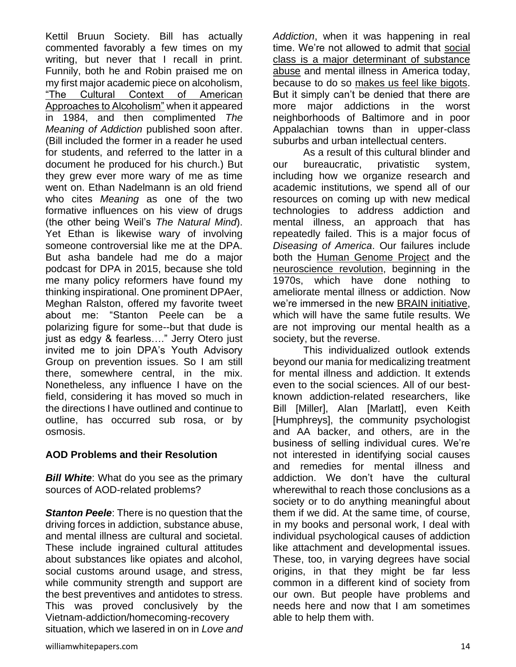Kettil Bruun Society. Bill has actually commented favorably a few times on my writing, but never that I recall in print. Funnily, both he and Robin praised me on my first major academic piece on alcoholism, ["The Cultural Context of American](http://www.peele.net/lib/approach.html)  [Approaches to Alcoholism"](http://www.peele.net/lib/approach.html) when it appeared in 1984, and then complimented *The Meaning of Addiction* published soon after. (Bill included the former in a reader he used for students, and referred to the latter in a document he produced for his church.) But they grew ever more wary of me as time went on. Ethan Nadelmann is an old friend who cites *Meaning* as one of the two formative influences on his view of drugs (the other being Weil's *The Natural Mind*). Yet Ethan is likewise wary of involving someone controversial like me at the DPA. But asha bandele had me do a major podcast for DPA in 2015, because she told me many policy reformers have found my thinking inspirational. One prominent DPAer, Meghan Ralston, offered my favorite tweet about me: "Stanton Peele can be a polarizing figure for some--but that dude is just as edgy & fearless…." Jerry Otero just invited me to join DPA's Youth Advisory Group on prevention issues. So I am still there, somewhere central, in the mix. Nonetheless, any influence I have on the field, considering it has moved so much in the directions I have outlined and continue to outline, has occurred sub rosa, or by osmosis.

#### **AOD Problems and their Resolution**

*Bill White*: What do you see as the primary sources of AOD-related problems?

*Stanton Peele*: There is no question that the driving forces in addiction, substance abuse, and mental illness are cultural and societal. These include ingrained cultural attitudes about substances like opiates and alcohol, social customs around usage, and stress, while community strength and support are the best preventives and antidotes to stress. This was proved conclusively by the Vietnam-addiction/homecoming-recovery situation, which we lasered in on in *Love and*  *Addiction*, when it was happening in real time. We're not allowed to admit that [social](http://www.thefix.com/content/addiction-social-disease)  [class is a major determinant of substance](http://www.thefix.com/content/addiction-social-disease)  [abuse](http://www.thefix.com/content/addiction-social-disease) and mental illness in America today, because to do so [makes us feel like bigots.](http://www.substance.com/why-liberals-love-the-disease-theory-of-addiction-by-a-liberal-who-hates-it/12116/) But it simply can't be denied that there are more major addictions in the worst neighborhoods of Baltimore and in poor Appalachian towns than in upper-class suburbs and urban intellectual centers.

As a result of this cultural blinder and our bureaucratic, privatistic system, including how we organize research and academic institutions, we spend all of our resources on coming up with new medical technologies to address addiction and mental illness, an approach that has repeatedly failed. This is a major focus of *Diseasing of America*. Our failures include both the [Human Genome Project](http://www.huffingtonpost.com/stanton-peele/obama-brain-initiative_b_3286288.html) and the [neuroscience revolution,](http://www.huffingtonpost.com/stanton-peele/mental-health-brain-science_b_3298551.html) beginning in the 1970s, which have done nothing to ameliorate mental illness or addiction. Now we're immersed in the new [BRAIN initiative,](http://www.huffingtonpost.com/stanton-peele/obama-brain-initiative_b_3296313.html) which will have the same futile results. We are not improving our mental health as a society, but the reverse.

This individualized outlook extends beyond our mania for medicalizing treatment for mental illness and addiction. It extends even to the social sciences. All of our bestknown addiction-related researchers, like Bill [Miller], Alan [Marlatt], even Keith [Humphreys], the community psychologist and AA backer, and others, are in the business of selling individual cures. We're not interested in identifying social causes and remedies for mental illness and addiction. We don't have the cultural wherewithal to reach those conclusions as a society or to do anything meaningful about them if we did. At the same time, of course, in my books and personal work, I deal with individual psychological causes of addiction like attachment and developmental issues. These, too, in varying degrees have social origins, in that they might be far less common in a different kind of society from our own. But people have problems and needs here and now that I am sometimes able to help them with.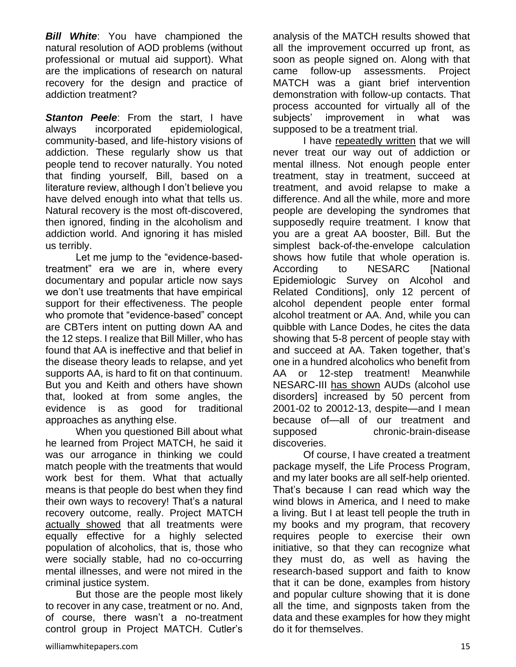*Bill White*: You have championed the natural resolution of AOD problems (without professional or mutual aid support). What are the implications of research on natural recovery for the design and practice of addiction treatment?

**Stanton Peele**: From the start, I have always incorporated epidemiological, community-based, and life-history visions of addiction. These regularly show us that people tend to recover naturally. You noted that finding yourself, Bill, based on a literature review, although I don't believe you have delved enough into what that tells us. Natural recovery is the most oft-discovered, then ignored, finding in the alcoholism and addiction world. And ignoring it has misled us terribly.

Let me jump to the "evidence-basedtreatment" era we are in, where every documentary and popular article now says we don't use treatments that have empirical support for their effectiveness. The people who promote that "evidence-based" concept are CBTers intent on putting down AA and the 12 steps. I realize that Bill Miller, who has found that AA is ineffective and that belief in the disease theory leads to relapse, and yet supports AA, is hard to fit on that continuum. But you and Keith and others have shown that, looked at from some angles, the evidence is as good for traditional approaches as anything else.

When you questioned Bill about what he learned from Project MATCH, he said it was our arrogance in thinking we could match people with the treatments that would work best for them. What that actually means is that people do best when they find their own ways to recovery! That's a natural recovery outcome, really. Project MATCH [actually showed](http://www.peele.net/lib/niaaa.html) that all treatments were equally effective for a highly selected population of alcoholics, that is, those who were socially stable, had no co-occurring mental illnesses, and were not mired in the criminal justice system.

But those are the people most likely to recover in any case, treatment or no. And, of course, there wasn't a no-treatment control group in Project MATCH. Cutler's

analysis of the MATCH results showed that all the improvement occurred up front, as soon as people signed on. Along with that came follow-up assessments. Project MATCH was a giant brief intervention demonstration with follow-up contacts. That process accounted for virtually all of the subjects' improvement in what was supposed to be a treatment trial.

I have [repeatedly written](http://www.peele.net/lib/abuse.html) that we will never treat our way out of addiction or mental illness. Not enough people enter treatment, stay in treatment, succeed at treatment, and avoid relapse to make a difference. And all the while, more and more people are developing the syndromes that supposedly require treatment. I know that you are a great AA booster, Bill. But the simplest back-of-the-envelope calculation shows how futile that whole operation is. According to NESARC [National Epidemiologic Survey on Alcohol and Related Conditions], only 12 percent of alcohol dependent people enter formal alcohol treatment or AA. And, while you can quibble with Lance Dodes, he cites the data showing that 5-8 percent of people stay with and succeed at AA. Taken together, that's one in a hundred alcoholics who benefit from AA or 12-step treatment! Meanwhile NESARC-III [has shown](http://reason.com/archives/2015/06/14/are-we-creating-our-own-addiction-splurg) AUDs (alcohol use disorders] increased by 50 percent from 2001-02 to 20012-13, despite—and I mean because of—all of our treatment and supposed chronic-brain-disease discoveries.

Of course, I have created a treatment package myself, the Life Process Program, and my later books are all self-help oriented. That's because I can read which way the wind blows in America, and I need to make a living. But I at least tell people the truth in my books and my program, that recovery requires people to exercise their own initiative, so that they can recognize what they must do, as well as having the research-based support and faith to know that it can be done, examples from history and popular culture showing that it is done all the time, and signposts taken from the data and these examples for how they might do it for themselves.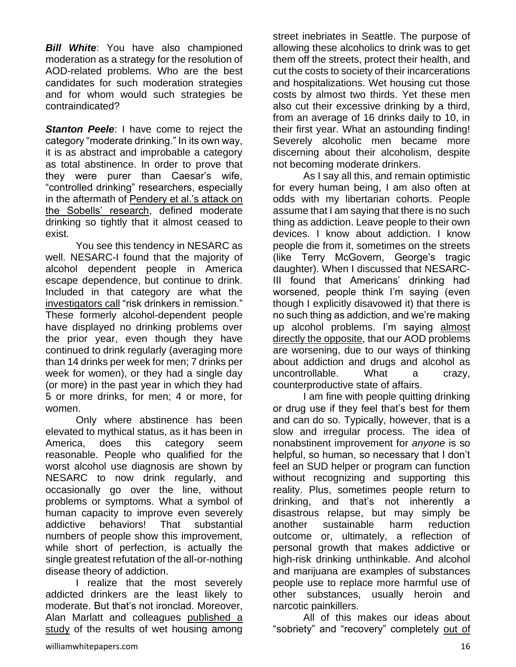*Bill White*: You have also championed moderation as a strategy for the resolution of AOD-related problems. Who are the best candidates for such moderation strategies and for whom would such strategies be contraindicated?

**Stanton Peele:** I have come to reject the category "moderate drinking." In its own way, it is as abstract and improbable a category as total abstinence. In order to prove that they were purer than Caesar's wife, "controlled drinking" researchers, especially in the aftermath of [Pendery et al.'s attack on](http://www.thefix.com/content/alcoholism-paper-%E2%80%9Cproved%E2%80%9D-harm-reduction-was-wrong)  [the Sobells' research,](http://www.thefix.com/content/alcoholism-paper-%E2%80%9Cproved%E2%80%9D-harm-reduction-was-wrong) defined moderate drinking so tightly that it almost ceased to exist.

You see this tendency in NESARC as well. NESARC-I found that the majority of alcohol dependent people in America escape dependence, but continue to drink. Included in that category are what the [investigators call](http://www.peele.net/lib/consequences.html) "risk drinkers in remission." These formerly alcohol-dependent people have displayed no drinking problems over the prior year, even though they have continued to drink regularly (averaging more than 14 drinks per week for men; 7 drinks per week for women), or they had a single day (or more) in the past year in which they had 5 or more drinks, for men; 4 or more, for women.

Only where abstinence has been elevated to mythical status, as it has been in America, does this category seem reasonable. People who qualified for the worst alcohol use diagnosis are shown by NESARC to now drink regularly, and occasionally go over the line, without problems or symptoms. What a symbol of human capacity to improve even severely addictive behaviors! That substantial numbers of people show this improvement, while short of perfection, is actually the single greatest refutation of the all-or-nothing disease theory of addiction.

I realize that the most severely addicted drinkers are the least likely to moderate. But that's not ironclad. Moreover, Alan Marlatt and colleagues [published a](https://www.psychologytoday.com/blog/addiction-in-society/200904/letting-alcoholics-drink)  [study](https://www.psychologytoday.com/blog/addiction-in-society/200904/letting-alcoholics-drink) of the results of wet housing among street inebriates in Seattle. The purpose of allowing these alcoholics to drink was to get them off the streets, protect their health, and cut the costs to society of their incarcerations and hospitalizations. Wet housing cut those costs by almost two thirds. Yet these men also cut their excessive drinking by a third, from an average of 16 drinks daily to 10, in their first year. What an astounding finding! Severely alcoholic men became more discerning about their alcoholism, despite not becoming moderate drinkers.

As I say all this, and remain optimistic for every human being, I am also often at odds with my libertarian cohorts. People assume that I am saying that there is no such thing as addiction. Leave people to their own devices. I know about addiction. I know people die from it, sometimes on the streets (like Terry McGovern, George's tragic daughter). When I discussed that NESARC-III found that Americans' drinking had worsened, people think I'm saying (even though I explicitly disavowed it) that there is no such thing as addiction, and we're making up alcohol problems. I'm saying almost [directly the opposite,](http://www.thefix.com/content/we-have-more-drinking-problems-why) that our AOD problems are worsening, due to our ways of thinking about addiction and drugs and alcohol as uncontrollable. What a crazy, counterproductive state of affairs.

I am fine with people quitting drinking or drug use if they feel that's best for them and can do so. Typically, however, that is a slow and irregular process. The idea of nonabstinent improvement for *anyone* is so helpful, so human, so necessary that I don't feel an SUD helper or program can function without recognizing and supporting this reality. Plus, sometimes people return to drinking, and that's not inherently a disastrous relapse, but may simply be another sustainable harm reduction outcome or, ultimately, a reflection of personal growth that makes addictive or high-risk drinking unthinkable. And alcohol and marijuana are examples of substances people use to replace more harmful use of other substances, usually heroin and narcotic painkillers.

All of this makes our ideas about "sobriety" and "recovery" completely [out of](http://reason.com/archives/2014/03/22/alcoholics-recovery-and-sobriety-meaning)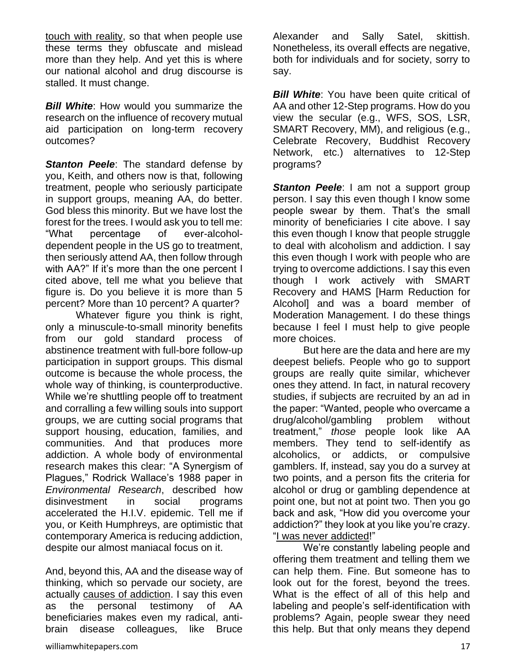[touch with reality,](http://reason.com/archives/2014/03/22/alcoholics-recovery-and-sobriety-meaning) so that when people use these terms they obfuscate and mislead more than they help. And yet this is where our national alcohol and drug discourse is stalled. It must change.

**Bill White:** How would you summarize the research on the influence of recovery mutual aid participation on long-term recovery outcomes?

**Stanton Peele**: The standard defense by you, Keith, and others now is that, following treatment, people who seriously participate in support groups, meaning AA, do better. God bless this minority. But we have lost the forest for the trees. I would ask you to tell me: "What percentage of ever-alcoholdependent people in the US go to treatment, then seriously attend AA, then follow through with AA?" If it's more than the one percent I cited above, tell me what you believe that figure is. Do you believe it is more than 5 percent? More than 10 percent? A quarter?

Whatever figure you think is right, only a minuscule-to-small minority benefits from our gold standard process of abstinence treatment with full-bore follow-up participation in support groups. This dismal outcome is because the whole process, the whole way of thinking, is counterproductive. While we're shuttling people off to treatment and corralling a few willing souls into support groups, we are cutting social programs that support housing, education, families, and communities. And that produces more addiction. A whole body of environmental research makes this clear: "A Synergism of Plagues," Rodrick Wallace's 1988 paper in *Environmental Research*, described how disinvestment in social programs accelerated the H.I.V. epidemic. Tell me if you, or Keith Humphreys, are optimistic that contemporary America is reducing addiction, despite our almost maniacal focus on it.

And, beyond this, AA and the disease way of thinking, which so pervade our society, are actually [causes of addiction.](http://www.huffingtonpost.com/stanton-peele/problems-with-aa_b_989832.html) I say this even as the personal testimony of AA beneficiaries makes even my radical, antibrain disease colleagues, like Bruce

Alexander and Sally Satel, skittish. Nonetheless, its overall effects are negative, both for individuals and for society, sorry to say.

**Bill White:** You have been quite critical of AA and other 12-Step programs. How do you view the secular (e.g., WFS, SOS, LSR, SMART Recovery, MM), and religious (e.g., Celebrate Recovery, Buddhist Recovery Network, etc.) alternatives to 12-Step programs?

**Stanton Peele:** I am not a support group person. I say this even though I know some people swear by them. That's the small minority of beneficiaries I cite above. I say this even though I know that people struggle to deal with alcoholism and addiction. I say this even though I work with people who are trying to overcome addictions. I say this even though I work actively with SMART Recovery and HAMS [Harm Reduction for Alcohol] and was a board member of Moderation Management. I do these things because I feel I must help to give people more choices.

But here are the data and here are my deepest beliefs. People who go to support groups are really quite similar, whichever ones they attend. In fact, in natural recovery studies, if subjects are recruited by an ad in the paper: "Wanted, people who overcame a drug/alcohol/gambling problem without treatment," *those* people look like AA members. They tend to self-identify as alcoholics, or addicts, or compulsive gamblers. If, instead, say you do a survey at two points, and a person fits the criteria for alcohol or drug or gambling dependence at point one, but not at point two. Then you go back and ask, "How did you overcome your addiction?" they look at you like you're crazy. ["I was never addicted!](http://www.substance.com/forget-what-they-tell-you-denial-can-help-you-to-recover-from-addiction/15042/)"

We're constantly labeling people and offering them treatment and telling them we can help them. Fine. But someone has to look out for the forest, beyond the trees. What is the effect of all of this help and labeling and people's self-identification with problems? Again, people swear they need this help. But that only means they depend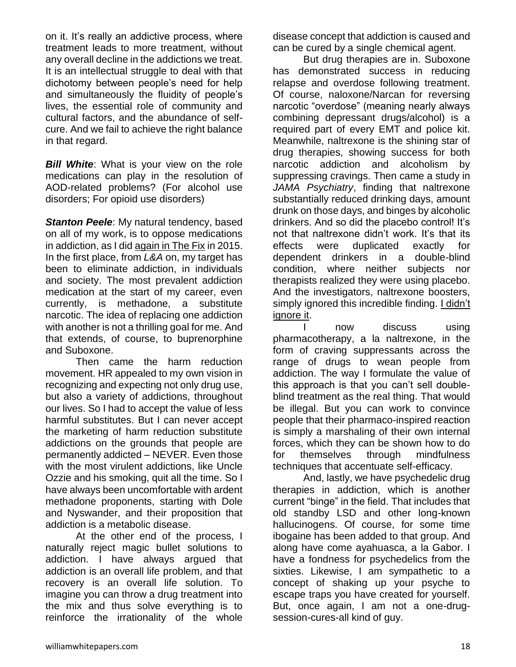on it. It's really an addictive process, where treatment leads to more treatment, without any overall decline in the addictions we treat. It is an intellectual struggle to deal with that dichotomy between people's need for help and simultaneously the fluidity of people's lives, the essential role of community and cultural factors, and the abundance of selfcure. And we fail to achieve the right balance in that regard.

*Bill White:* What is your view on the role medications can play in the resolution of AOD-related problems? (For alcohol use disorders; For opioid use disorders)

**Stanton Peele:** My natural tendency, based on all of my work, is to oppose medications in addiction, as I did [again in The Fix](http://www.thefix.com/content/when-drug-therapies-addiction-are-dangerous) in 2015. In the first place, from *L&A* on, my target has been to eliminate addiction, in individuals and society. The most prevalent addiction medication at the start of my career, even currently, is methadone, a substitute narcotic. The idea of replacing one addiction with another is not a thrilling goal for me. And that extends, of course, to buprenorphine and Suboxone.

Then came the harm reduction movement. HR appealed to my own vision in recognizing and expecting not only drug use, but also a variety of addictions, throughout our lives. So I had to accept the value of less harmful substitutes. But I can never accept the marketing of harm reduction substitute addictions on the grounds that people are permanently addicted – NEVER. Even those with the most virulent addictions, like Uncle Ozzie and his smoking, quit all the time. So I have always been uncomfortable with ardent methadone proponents, starting with Dole and Nyswander, and their proposition that addiction is a metabolic disease.

At the other end of the process, I naturally reject magic bullet solutions to addiction. I have always argued that addiction is an overall life problem, and that recovery is an overall life solution. To imagine you can throw a drug treatment into the mix and thus solve everything is to reinforce the irrationality of the whole

disease concept that addiction is caused and can be cured by a single chemical agent.

But drug therapies are in. Suboxone has demonstrated success in reducing relapse and overdose following treatment. Of course, naloxone/Narcan for reversing narcotic "overdose" (meaning nearly always combining depressant drugs/alcohol) is a required part of every EMT and police kit. Meanwhile, naltrexone is the shining star of drug therapies, showing success for both narcotic addiction and alcoholism by suppressing cravings. Then came a study in *JAMA Psychiatry*, finding that naltrexone substantially reduced drinking days, amount drunk on those days, and binges by alcoholic drinkers. And so did the placebo control! It's not that naltrexone didn't work. It's that its effects were duplicated exactly for dependent drinkers in a double-blind condition, where neither subjects nor therapists realized they were using placebo. And the investigators, naltrexone boosters, simply ignored this incredible finding. [I didn't](http://www.thefix.com/content/why-drug-therapies-addiction-are-dangerous)  [ignore it.](http://www.thefix.com/content/why-drug-therapies-addiction-are-dangerous)

now discuss using pharmacotherapy, a la naltrexone, in the form of craving suppressants across the range of drugs to wean people from addiction. The way I formulate the value of this approach is that you can't sell doubleblind treatment as the real thing. That would be illegal. But you can work to convince people that their pharmaco-inspired reaction is simply a marshaling of their own internal forces, which they can be shown how to do for themselves through mindfulness techniques that accentuate self-efficacy.

And, lastly, we have psychedelic drug therapies in addiction, which is another current "binge" in the field. That includes that old standby LSD and other long-known hallucinogens. Of course, for some time ibogaine has been added to that group. And along have come ayahuasca, a la Gabor. I have a fondness for psychedelics from the sixties. Likewise, I am sympathetic to a concept of shaking up your psyche to escape traps you have created for yourself. But, once again, I am not a one-drugsession-cures-all kind of guy.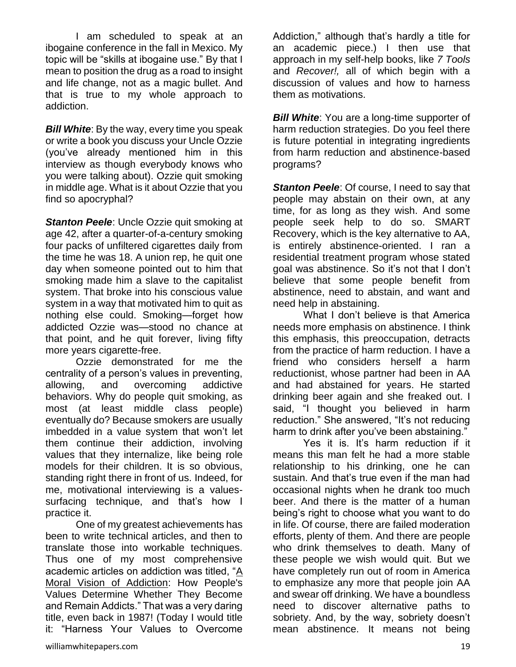I am scheduled to speak at an ibogaine conference in the fall in Mexico. My topic will be "skills at ibogaine use." By that I mean to position the drug as a road to insight and life change, not as a magic bullet. And that is true to my whole approach to addiction.

*Bill White*: By the way, every time you speak or write a book you discuss your Uncle Ozzie (you've already mentioned him in this interview as though everybody knows who you were talking about). Ozzie quit smoking in middle age. What is it about Ozzie that you find so apocryphal?

**Stanton Peele:** Uncle Ozzie quit smoking at age 42, after a quarter-of-a-century smoking four packs of unfiltered cigarettes daily from the time he was 18. A union rep, he quit one day when someone pointed out to him that smoking made him a slave to the capitalist system. That broke into his conscious value system in a way that motivated him to quit as nothing else could. Smoking—forget how addicted Ozzie was—stood no chance at that point, and he quit forever, living fifty more years cigarette-free.

Ozzie demonstrated for me the centrality of a person's values in preventing, allowing, and overcoming addictive behaviors. Why do people quit smoking, as most (at least middle class people) eventually do? Because smokers are usually imbedded in a value system that won't let them continue their addiction, involving values that they internalize, like being role models for their children. It is so obvious, standing right there in front of us. Indeed, for me, motivational interviewing is a valuessurfacing technique, and that's how I practice it.

One of my greatest achievements has been to write technical articles, and then to translate those into workable techniques. Thus one of my most comprehensive academic articles on addiction was titled, ["A](http://www.peele.net/lib/vision.html)  [Moral Vision of Addiction:](http://www.peele.net/lib/vision.html) How People's Values Determine Whether They Become and Remain Addicts." That was a very daring title, even back in 1987! (Today I would title it: "Harness Your Values to Overcome

Addiction," although that's hardly a title for an academic piece.) I then use that approach in my self-help books, like *7 Tools* and *Recover!,* all of which begin with a discussion of values and how to harness them as motivations.

*Bill White:* You are a long-time supporter of harm reduction strategies. Do you feel there is future potential in integrating ingredients from harm reduction and abstinence-based programs?

**Stanton Peele:** Of course, I need to say that people may abstain on their own, at any time, for as long as they wish. And some people seek help to do so. SMART Recovery, which is the key alternative to AA, is entirely abstinence-oriented. I ran a residential treatment program whose stated goal was abstinence. So it's not that I don't believe that some people benefit from abstinence, need to abstain, and want and need help in abstaining.

What I don't believe is that America needs more emphasis on abstinence. I think this emphasis, this preoccupation, detracts from the practice of harm reduction. I have a friend who considers herself a harm reductionist, whose partner had been in AA and had abstained for years. He started drinking beer again and she freaked out. I said, "I thought you believed in harm reduction." She answered, "It's not reducing harm to drink after you've been abstaining."

Yes it is. It's harm reduction if it means this man felt he had a more stable relationship to his drinking, one he can sustain. And that's true even if the man had occasional nights when he drank too much beer. And there is the matter of a human being's right to choose what you want to do in life. Of course, there are failed moderation efforts, plenty of them. And there are people who drink themselves to death. Many of these people we wish would quit. But we have completely run out of room in America to emphasize any more that people join AA and swear off drinking. We have a boundless need to discover alternative paths to sobriety. And, by the way, sobriety doesn't mean abstinence. It means not being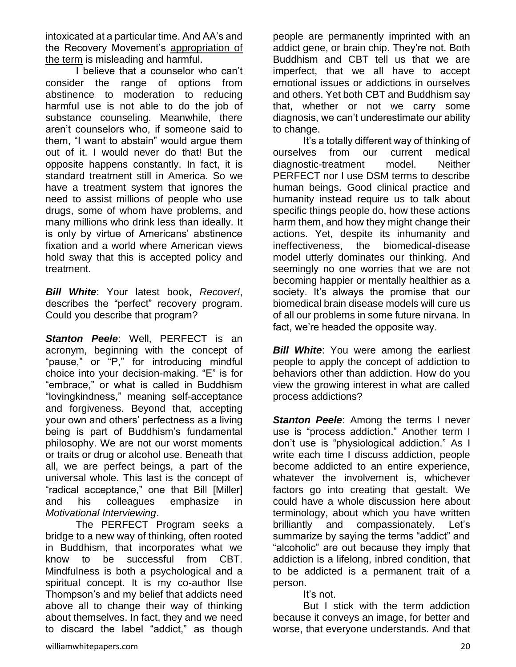intoxicated at a particular time. And AA's and the Recovery Movement's [appropriation of](http://reason.com/archives/2014/03/22/alcoholics-recovery-and-sobriety-meaning)  [the term](http://reason.com/archives/2014/03/22/alcoholics-recovery-and-sobriety-meaning) is misleading and harmful.

I believe that a counselor who can't consider the range of options from abstinence to moderation to reducing harmful use is not able to do the job of substance counseling. Meanwhile, there aren't counselors who, if someone said to them, "I want to abstain" would argue them out of it. I would never do that! But the opposite happens constantly. In fact, it is standard treatment still in America. So we have a treatment system that ignores the need to assist millions of people who use drugs, some of whom have problems, and many millions who drink less than ideally. It is only by virtue of Americans' abstinence fixation and a world where American views hold sway that this is accepted policy and treatment.

*Bill White*: Your latest book, *Recover!*, describes the "perfect" recovery program. Could you describe that program?

**Stanton Peele:** Well, PERFECT is an acronym, beginning with the concept of "pause," or "P," for introducing mindful choice into your decision-making. "E" is for "embrace," or what is called in Buddhism "lovingkindness," meaning self-acceptance and forgiveness. Beyond that, accepting your own and others' perfectness as a living being is part of Buddhism's fundamental philosophy. We are not our worst moments or traits or drug or alcohol use. Beneath that all, we are perfect beings, a part of the universal whole. This last is the concept of "radical acceptance," one that Bill [Miller] and his colleagues emphasize in *Motivational Interviewing*.

The PERFECT Program seeks a bridge to a new way of thinking, often rooted in Buddhism, that incorporates what we know to be successful from CBT. Mindfulness is both a psychological and a spiritual concept. It is my co-author Ilse Thompson's and my belief that addicts need above all to change their way of thinking about themselves. In fact, they and we need to discard the label "addict," as though people are permanently imprinted with an addict gene, or brain chip. They're not. Both Buddhism and CBT tell us that we are imperfect, that we all have to accept emotional issues or addictions in ourselves and others. Yet both CBT and Buddhism say that, whether or not we carry some diagnosis, we can't underestimate our ability to change.

It's a totally different way of thinking of ourselves from our current medical diagnostic-treatment model. Neither PERFECT nor I use DSM terms to describe human beings. Good clinical practice and humanity instead require us to talk about specific things people do, how these actions harm them, and how they might change their actions. Yet, despite its inhumanity and ineffectiveness, the biomedical-disease model utterly dominates our thinking. And seemingly no one worries that we are not becoming happier or mentally healthier as a society. It's always the promise that our biomedical brain disease models will cure us of all our problems in some future nirvana. In fact, we're headed the opposite way.

**Bill White:** You were among the earliest people to apply the concept of addiction to behaviors other than addiction. How do you view the growing interest in what are called process addictions?

**Stanton Peele:** Among the terms I never use is "process addiction." Another term I don't use is "physiological addiction." As I write each time I discuss addiction, people become addicted to an entire experience, whatever the involvement is, whichever factors go into creating that gestalt. We could have a whole discussion here about terminology, about which you have written brilliantly and compassionately. Let's summarize by saying the terms "addict" and "alcoholic" are out because they imply that addiction is a lifelong, inbred condition, that to be addicted is a permanent trait of a person.

It's not.

But I stick with the term addiction because it conveys an image, for better and worse, that everyone understands. And that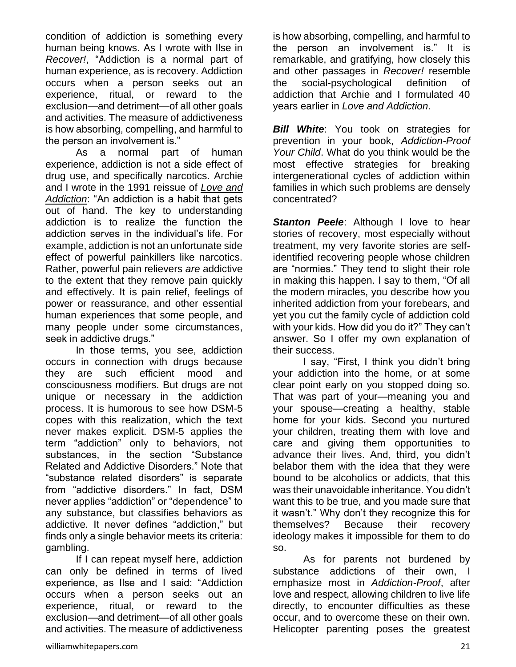condition of addiction is something every human being knows. As I wrote with Ilse in *Recover!*, "Addiction is a normal part of human experience, as is recovery. Addiction occurs when a person seeks out an experience, ritual, or reward to the exclusion—and detriment—of all other goals and activities. The measure of addictiveness is how absorbing, compelling, and harmful to the person an involvement is."

As a normal part of human experience, addiction is not a side effect of drug use, and specifically narcotics. Archie and I wrote in the 1991 reissue of *[Love and](http://www.amazon.com/Love-Addiction-Stanton-Peele/dp/098538722X)  [Addiction](http://www.amazon.com/Love-Addiction-Stanton-Peele/dp/098538722X)*: "An addiction is a habit that gets out of hand. The key to understanding addiction is to realize the function the addiction serves in the individual's life. For example, addiction is not an unfortunate side effect of powerful painkillers like narcotics. Rather, powerful pain relievers *are* addictive to the extent that they remove pain quickly and effectively. It is pain relief, feelings of power or reassurance, and other essential human experiences that some people, and many people under some circumstances, seek in addictive drugs."

In those terms, you see, addiction occurs in connection with drugs because they are such efficient mood and consciousness modifiers. But drugs are not unique or necessary in the addiction process. It is humorous to see how DSM-5 copes with this realization, which the text never makes explicit. DSM-5 applies the term "addiction" only to behaviors, not substances, in the section "Substance Related and Addictive Disorders." Note that "substance related disorders" is separate from "addictive disorders." In fact, DSM never applies "addiction" or "dependence" to any substance, but classifies behaviors as addictive. It never defines "addiction," but finds only a single behavior meets its criteria: gambling.

If I can repeat myself here, addiction can only be defined in terms of lived experience, as Ilse and I said: "Addiction occurs when a person seeks out an experience, ritual, or reward to the exclusion—and detriment—of all other goals and activities. The measure of addictiveness

is how absorbing, compelling, and harmful to the person an involvement is." It is remarkable, and gratifying, how closely this and other passages in *Recover!* resemble the social-psychological definition of addiction that Archie and I formulated 40 years earlier in *Love and Addiction*.

*Bill White*: You took on strategies for prevention in your book, *Addiction-Proof Your Child*. What do you think would be the most effective strategies for breaking intergenerational cycles of addiction within families in which such problems are densely concentrated?

**Stanton Peele:** Although I love to hear stories of recovery, most especially without treatment, my very favorite stories are selfidentified recovering people whose children are "normies." They tend to slight their role in making this happen. I say to them, "Of all the modern miracles, you describe how you inherited addiction from your forebears, and yet you cut the family cycle of addiction cold with your kids. How did you do it?" They can't answer. So I offer my own explanation of their success.

I say, "First, I think you didn't bring your addiction into the home, or at some clear point early on you stopped doing so. That was part of your—meaning you and your spouse—creating a healthy, stable home for your kids. Second you nurtured your children, treating them with love and care and giving them opportunities to advance their lives. And, third, you didn't belabor them with the idea that they were bound to be alcoholics or addicts, that this was their unavoidable inheritance. You didn't want this to be true, and you made sure that it wasn't." Why don't they recognize this for themselves? Because their recovery ideology makes it impossible for them to do so.

As for parents not burdened by substance addictions of their own, I emphasize most in *Addiction-Proof*, after love and respect, allowing children to live life directly, to encounter difficulties as these occur, and to overcome these on their own. Helicopter parenting poses the greatest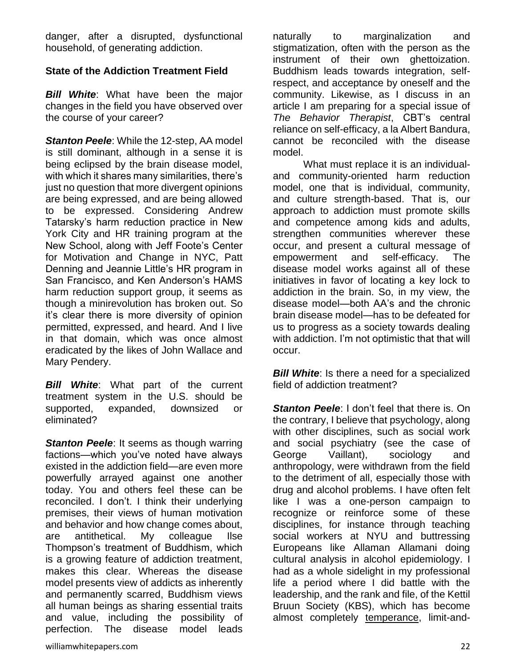danger, after a disrupted, dysfunctional household, of generating addiction.

#### **State of the Addiction Treatment Field**

*Bill White*: What have been the major changes in the field you have observed over the course of your career?

*Stanton Peele*: While the 12-step, AA model is still dominant, although in a sense it is being eclipsed by the brain disease model, with which it shares many similarities, there's just no question that more divergent opinions are being expressed, and are being allowed to be expressed. Considering Andrew Tatarsky's harm reduction practice in New York City and HR training program at the New School, along with Jeff Foote's Center for Motivation and Change in NYC, Patt Denning and Jeannie Little's HR program in San Francisco, and Ken Anderson's HAMS harm reduction support group, it seems as though a minirevolution has broken out. So it's clear there is more diversity of opinion permitted, expressed, and heard. And I live in that domain, which was once almost eradicated by the likes of John Wallace and Mary Pendery.

*Bill White*: What part of the current treatment system in the U.S. should be supported, expanded, downsized or eliminated?

**Stanton Peele:** It seems as though warring factions—which you've noted have always existed in the addiction field—are even more powerfully arrayed against one another today. You and others feel these can be reconciled. I don't. I think their underlying premises, their views of human motivation and behavior and how change comes about, are antithetical. My colleague Ilse Thompson's treatment of Buddhism, which is a growing feature of addiction treatment, makes this clear. Whereas the disease model presents view of addicts as inherently and permanently scarred, Buddhism views all human beings as sharing essential traits and value, including the possibility of perfection. The disease model leads

naturally to marginalization and stigmatization, often with the person as the instrument of their own ghettoization. Buddhism leads towards integration, selfrespect, and acceptance by oneself and the community. Likewise, as I discuss in an article I am preparing for a special issue of *The Behavior Therapist*, CBT's central reliance on self-efficacy, a la Albert Bandura, cannot be reconciled with the disease model.

What must replace it is an individualand community-oriented harm reduction model, one that is individual, community, and culture strength-based. That is, our approach to addiction must promote skills and competence among kids and adults, strengthen communities wherever these occur, and present a cultural message of empowerment and self-efficacy. The disease model works against all of these initiatives in favor of locating a key lock to addiction in the brain. So, in my view, the disease model—both AA's and the chronic brain disease model—has to be defeated for us to progress as a society towards dealing with addiction. I'm not optimistic that that will occur.

*Bill White:* Is there a need for a specialized field of addiction treatment?

*Stanton Peele:* I don't feel that there is. On the contrary, I believe that psychology, along with other disciplines, such as social work and social psychiatry (see the case of George Vaillant), sociology and anthropology, were withdrawn from the field to the detriment of all, especially those with drug and alcohol problems. I have often felt like I was a one-person campaign to recognize or reinforce some of these disciplines, for instance through teaching social workers at NYU and buttressing Europeans like Allaman Allamani doing cultural analysis in alcohol epidemiology. I had as a whole sidelight in my professional life a period where I did battle with the leadership, and the rank and file, of the Kettil Bruun Society (KBS), which has become almost completely [temperance,](http://www.peele.net/lib/evil.html) limit-and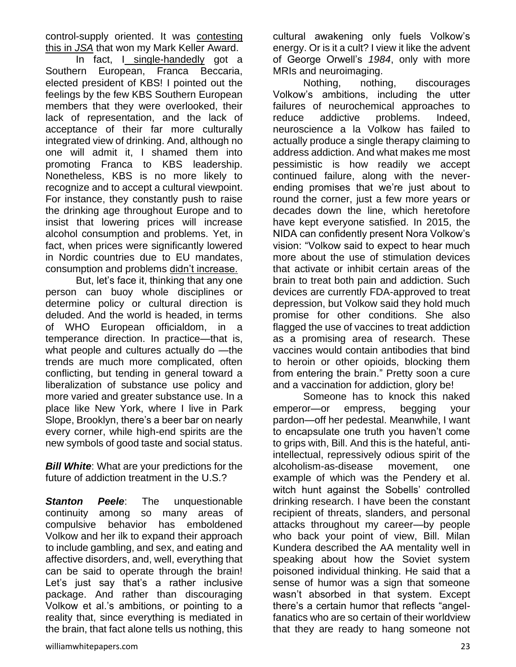control-supply oriented. It was [contesting](http://www.ncbi.nlm.nih.gov/pubmed/3821120)  [this in](http://www.ncbi.nlm.nih.gov/pubmed/3821120) *JSA* that won my Mark Keller Award.

In fact, I [single-handedly](http://www.huffingtonpost.com/stanton-peele/i-am-singlehandedly-prese_b_706015.html) got a Southern European, Franca Beccaria, elected president of KBS! I pointed out the feelings by the few KBS Southern European members that they were overlooked, their lack of representation, and the lack of acceptance of their far more culturally integrated view of drinking. And, although no one will admit it, I shamed them into promoting Franca to KBS leadership. Nonetheless, KBS is no more likely to recognize and to accept a cultural viewpoint. For instance, they constantly push to raise the drinking age throughout Europe and to insist that lowering prices will increase alcohol consumption and problems. Yet, in fact, when prices were significantly lowered in Nordic countries due to EU mandates, consumption and problems [didn't increase.](http://lifeprocessprogram.com/lp-blog/library/alcohol-as-evil-temperance-and-policy/)

But, let's face it, thinking that any one person can buoy whole disciplines or determine policy or cultural direction is deluded. And the world is headed, in terms of WHO European officialdom, in a temperance direction. In practice—that is, what people and cultures actually do —the trends are much more complicated, often conflicting, but tending in general toward a liberalization of substance use policy and more varied and greater substance use. In a place like New York, where I live in Park Slope, Brooklyn, there's a beer bar on nearly every corner, while high-end spirits are the new symbols of good taste and social status.

*Bill White:* What are your predictions for the future of addiction treatment in the U.S.?

**Stanton Peele:** The unquestionable continuity among so many areas of compulsive behavior has emboldened Volkow and her ilk to expand their approach to include gambling, and sex, and eating and affective disorders, and, well, everything that can be said to operate through the brain! Let's just say that's a rather inclusive package. And rather than discouraging Volkow et al.'s ambitions, or pointing to a reality that, since everything is mediated in the brain, that fact alone tells us nothing, this

Nothing, nothing, discourages Volkow's ambitions, including the utter failures of neurochemical approaches to reduce addictive problems. Indeed, neuroscience a la Volkow has failed to actually produce a single therapy claiming to address addiction. And what makes me most pessimistic is how readily we accept continued failure, along with the neverending promises that we're just about to round the corner, just a few more years or decades down the line, which heretofore have kept everyone satisfied. In 2015, the NIDA can confidently present Nora Volkow's vision: "Volkow said to expect to hear much more about the use of stimulation devices that activate or inhibit certain areas of the brain to treat both pain and addiction. Such devices are currently FDA-approved to treat depression, but Volkow said they hold much promise for other conditions. She also flagged the use of vaccines to treat addiction as a promising area of research. These vaccines would contain antibodies that bind to heroin or other opioids, blocking them from entering the brain." Pretty soon a cure and a vaccination for addiction, glory be!

Someone has to knock this naked emperor—or empress, begging your pardon—off her pedestal. Meanwhile, I want to encapsulate one truth you haven't come to grips with, Bill. And this is the hateful, antiintellectual, repressively odious spirit of the alcoholism-as-disease movement, one example of which was the Pendery et al. witch hunt against the Sobells' controlled drinking research. I have been the constant recipient of threats, slanders, and personal attacks throughout my career—by people who back your point of view, Bill. Milan Kundera described the AA mentality well in speaking about how the Soviet system poisoned individual thinking. He said that a sense of humor was a sign that someone wasn't absorbed in that system. Except there's a certain humor that reflects "angelfanatics who are so certain of their worldview that they are ready to hang someone not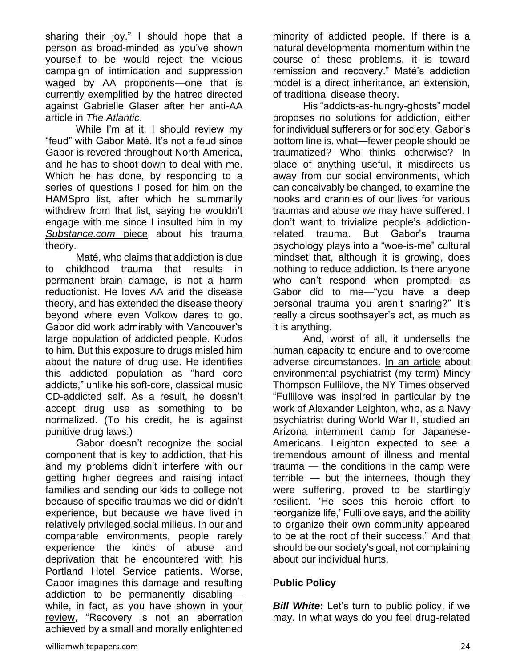sharing their joy." I should hope that a person as broad-minded as you've shown yourself to be would reject the vicious campaign of intimidation and suppression waged by AA proponents—one that is currently exemplified by the hatred directed against Gabrielle Glaser after her anti-AA article in *The Atlantic*.

While I'm at it, I should review my "feud" with Gabor Maté. It's not a feud since Gabor is revered throughout North America, and he has to shoot down to deal with me. Which he has done, by responding to a series of questions I posed for him on the HAMSpro list, after which he summarily withdrew from that list, saying he wouldn't engage with me since I insulted him in my *[Substance.com](http://www.substance.com/my-hostile-breakfast-with-gabor-mate/8562/)* piece about his trauma theory.

Maté, who claims that addiction is due to childhood trauma that results in permanent brain damage, is not a harm reductionist. He loves AA and the disease theory, and has extended the disease theory beyond where even Volkow dares to go. Gabor did work admirably with Vancouver's large population of addicted people. Kudos to him. But this exposure to drugs misled him about the nature of drug use. He identifies this addicted population as "hard core addicts," unlike his soft-core, classical music CD-addicted self. As a result, he doesn't accept drug use as something to be normalized. (To his credit, he is against punitive drug laws.)

Gabor doesn't recognize the social component that is key to addiction, that his and my problems didn't interfere with our getting higher degrees and raising intact families and sending our kids to college not because of specific traumas we did or didn't experience, but because we have lived in relatively privileged social milieus. In our and comparable environments, people rarely experience the kinds of abuse and deprivation that he encountered with his Portland Hotel Service patients. Worse, Gabor imagines this damage and resulting addiction to be permanently disabling while, in fact, as you have shown in [your](http://www.attcnetwork.org/learn/topics/rosc/docs/RecoveryRemissionWW.pdf)  [review,](http://www.attcnetwork.org/learn/topics/rosc/docs/RecoveryRemissionWW.pdf) "Recovery is not an aberration achieved by a small and morally enlightened minority of addicted people. If there is a natural developmental momentum within the course of these problems, it is toward remission and recovery." Maté's addiction model is a direct inheritance, an extension, of traditional disease theory.

His "addicts-as-hungry-ghosts" model proposes no solutions for addiction, either for individual sufferers or for society. Gabor's bottom line is, what—fewer people should be traumatized? Who thinks otherwise? In place of anything useful, it misdirects us away from our social environments, which can conceivably be changed, to examine the nooks and crannies of our lives for various traumas and abuse we may have suffered. I don't want to trivialize people's addictionrelated trauma. But Gabor's trauma psychology plays into a "woe-is-me" cultural mindset that, although it is growing, does nothing to reduce addiction. Is there anyone who can't respond when prompted—as Gabor did to me—"you have a deep personal trauma you aren't sharing?" It's really a circus soothsayer's act, as much as it is anything.

And, worst of all, it undersells the human capacity to endure and to overcome adverse circumstances. [In an article](http://www.nytimes.com/2015/06/28/magazine/the-town-shrink.html) about environmental psychiatrist (my term) Mindy Thompson Fullilove, the NY Times observed "Fullilove was inspired in particular by the work of Alexander Leighton, who, as a Navy psychiatrist during World War II, studied an Arizona internment camp for Japanese-Americans. Leighton expected to see a tremendous amount of illness and mental trauma — the conditions in the camp were terrible — but the internees, though they were suffering, proved to be startlingly resilient. 'He sees this heroic effort to reorganize life,' Fullilove says, and the ability to organize their own community appeared to be at the root of their success." And that should be our society's goal, not complaining about our individual hurts.

### **Public Policy**

*Bill White:* Let's turn to public policy, if we may. In what ways do you feel drug-related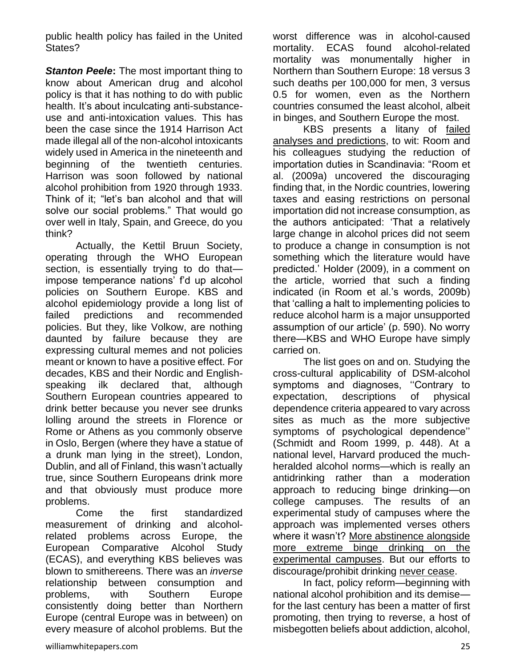public health policy has failed in the United States?

*Stanton Peele***:** The most important thing to know about American drug and alcohol policy is that it has nothing to do with public health. It's about inculcating anti-substanceuse and anti-intoxication values. This has been the case since the 1914 Harrison Act made illegal all of the non-alcohol intoxicants widely used in America in the nineteenth and beginning of the twentieth centuries. Harrison was soon followed by national alcohol prohibition from 1920 through 1933. Think of it; "let's ban alcohol and that will solve our social problems." That would go over well in Italy, Spain, and Greece, do you think?

Actually, the Kettil Bruun Society, operating through the WHO European section, is essentially trying to do that impose temperance nations' f'd up alcohol policies on Southern Europe. KBS and alcohol epidemiology provide a long list of failed predictions and recommended policies. But they, like Volkow, are nothing daunted by failure because they are expressing cultural memes and not policies meant or known to have a positive effect. For decades, KBS and their Nordic and Englishspeaking ilk declared that, although Southern European countries appeared to drink better because you never see drunks lolling around the streets in Florence or Rome or Athens as you commonly observe in Oslo, Bergen (where they have a statue of a drunk man lying in the street), London, Dublin, and all of Finland, this wasn't actually true, since Southern Europeans drink more and that obviously must produce more problems.

Come the first standardized measurement of drinking and alcoholrelated problems across Europe, the European Comparative Alcohol Study (ECAS), and everything KBS believes was blown to smithereens. There was an *inverse* relationship between consumption and problems, with Southern Europe consistently doing better than Northern Europe (central Europe was in between) on every measure of alcohol problems. But the

worst difference was in alcohol-caused mortality. ECAS found alcohol-related mortality was monumentally higher in Northern than Southern Europe: 18 versus 3 such deaths per 100,000 for men, 3 versus 0.5 for women, even as the Northern countries consumed the least alcohol, albeit in binges, and Southern Europe the most.

KBS presents a litany of [failed](http://www.peele.net/lib/evil.html)  [analyses and predictions,](http://www.peele.net/lib/evil.html) to wit: Room and his colleagues studying the reduction of importation duties in Scandinavia: "Room et al. (2009a) uncovered the discouraging finding that, in the Nordic countries, lowering taxes and easing restrictions on personal importation did not increase consumption, as the authors anticipated: 'That a relatively large change in alcohol prices did not seem to produce a change in consumption is not something which the literature would have predicted.' Holder (2009), in a comment on the article, worried that such a finding indicated (in Room et al.'s words, 2009b) that 'calling a halt to implementing policies to reduce alcohol harm is a major unsupported assumption of our article' (p. 590). No worry there—KBS and WHO Europe have simply carried on.

The list goes on and on. Studying the cross-cultural applicability of DSM-alcohol symptoms and diagnoses, ''Contrary to expectation, descriptions of physical dependence criteria appeared to vary across sites as much as the more subjective symptoms of psychological dependence'' (Schmidt and Room 1999, p. 448). At a national level, Harvard produced the muchheralded alcohol norms—which is really an antidrinking rather than a moderation approach to reducing binge drinking—on college campuses. The results of an experimental study of campuses where the approach was implemented verses others where it wasn't? [More abstinence alongside](http://www.peele.net/lib/reducing.html)  [more extreme binge drinking on the](http://www.peele.net/lib/reducing.html)  [experimental campuses.](http://www.peele.net/lib/reducing.html) But our efforts to discourage/prohibit drinking [never cease.](http://www.huffingtonpost.com/stanton-peele/college-alcohol-recovery-programs_b_942752.html)

In fact, policy reform—beginning with national alcohol prohibition and its demise for the last century has been a matter of first promoting, then trying to reverse, a host of misbegotten beliefs about addiction, alcohol,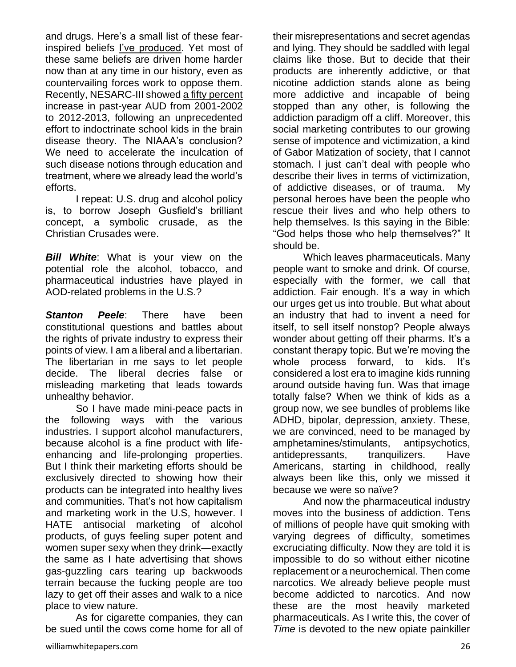and drugs. Here's a small list of these fearinspired beliefs [I've produced.](http://www.huffingtonpost.com/stanton-peele/addiction-myths_b_1928239.html) Yet most of these same beliefs are driven home harder now than at any time in our history, even as countervailing forces work to oppose them. Recently, NESARC-III showed [a fifty percent](http://www.thefix.com/content/we-have-more-drinking-problems-why)  [increase](http://www.thefix.com/content/we-have-more-drinking-problems-why) in past-year AUD from 2001-2002 to 2012-2013, following an unprecedented effort to indoctrinate school kids in the brain disease theory. The NIAAA's conclusion? We need to accelerate the inculcation of such disease notions through education and treatment, where we already lead the world's efforts.

I repeat: U.S. drug and alcohol policy is, to borrow Joseph Gusfield's brilliant concept, a symbolic crusade, as the Christian Crusades were.

**Bill White:** What is your view on the potential role the alcohol, tobacco, and pharmaceutical industries have played in AOD-related problems in the U.S.?

*Stanton Peele*: There have been constitutional questions and battles about the rights of private industry to express their points of view. I am a liberal and a libertarian. The libertarian in me says to let people decide. The liberal decries false or misleading marketing that leads towards unhealthy behavior.

So I have made mini-peace pacts in the following ways with the various industries. I support alcohol manufacturers, because alcohol is a fine product with lifeenhancing and life-prolonging properties. But I think their marketing efforts should be exclusively directed to showing how their products can be integrated into healthy lives and communities. That's not how capitalism and marketing work in the U.S, however. I HATE antisocial marketing of alcohol products, of guys feeling super potent and women super sexy when they drink—exactly the same as I hate advertising that shows gas-guzzling cars tearing up backwoods terrain because the fucking people are too lazy to get off their asses and walk to a nice place to view nature.

As for cigarette companies, they can be sued until the cows come home for all of

their misrepresentations and secret agendas and lying. They should be saddled with legal claims like those. But to decide that their products are inherently addictive, or that nicotine addiction stands alone as being more addictive and incapable of being stopped than any other, is following the addiction paradigm off a cliff. Moreover, this social marketing contributes to our growing sense of impotence and victimization, a kind of Gabor Matization of society, that I cannot stomach. I just can't deal with people who describe their lives in terms of victimization, of addictive diseases, or of trauma. My personal heroes have been the people who rescue their lives and who help others to help themselves. Is this saying in the Bible: "God helps those who help themselves?" It should be.

Which leaves pharmaceuticals. Many people want to smoke and drink. Of course, especially with the former, we call that addiction. Fair enough. It's a way in which our urges get us into trouble. But what about an industry that had to invent a need for itself, to sell itself nonstop? People always wonder about getting off their pharms. It's a constant therapy topic. But we're moving the whole process forward, to kids. It's considered a lost era to imagine kids running around outside having fun. Was that image totally false? When we think of kids as a group now, we see bundles of problems like ADHD, bipolar, depression, anxiety. These, we are convinced, need to be managed by amphetamines/stimulants, antipsychotics, antidepressants, tranquilizers. Have Americans, starting in childhood, really always been like this, only we missed it because we were so naïve?

And now the pharmaceutical industry moves into the business of addiction. Tens of millions of people have quit smoking with varying degrees of difficulty, sometimes excruciating difficulty. Now they are told it is impossible to do so without either nicotine replacement or a neurochemical. Then come narcotics. We already believe people must become addicted to narcotics. And now these are the most heavily marketed pharmaceuticals. As I write this, the cover of *Time* is devoted to the new opiate painkiller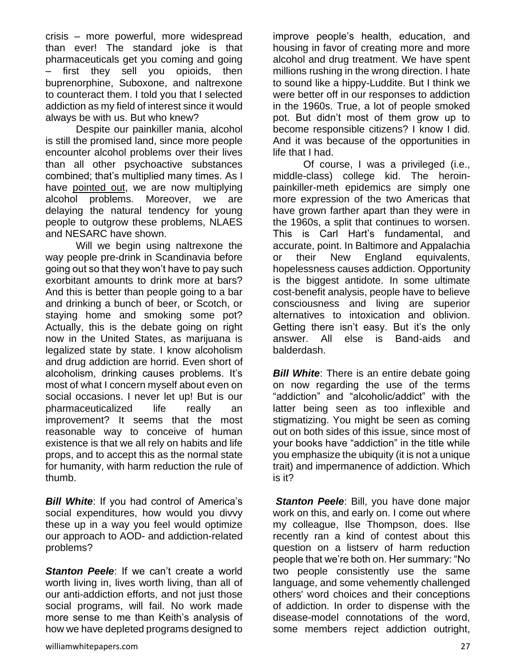crisis – more powerful, more widespread than ever! The standard joke is that pharmaceuticals get you coming and going first they sell you opioids, then buprenorphine, Suboxone, and naltrexone to counteract them. I told you that I selected addiction as my field of interest since it would always be with us. But who knew?

Despite our painkiller mania, alcohol is still the promised land, since more people encounter alcohol problems over their lives than all other psychoactive substances combined; that's multiplied many times. As I have [pointed out,](http://reason.com/archives/2015/06/14/are-we-creating-our-own-addiction-splurg) we are now multiplying alcohol problems. Moreover, we are delaying the natural tendency for young people to outgrow these problems, NLAES and NESARC have shown.

Will we begin using naltrexone the way people pre-drink in Scandinavia before going out so that they won't have to pay such exorbitant amounts to drink more at bars? And this is better than people going to a bar and drinking a bunch of beer, or Scotch, or staying home and smoking some pot? Actually, this is the debate going on right now in the United States, as marijuana is legalized state by state. I know alcoholism and drug addiction are horrid. Even short of alcoholism, drinking causes problems. It's most of what I concern myself about even on social occasions. I never let up! But is our pharmaceuticalized life really an improvement? It seems that the most reasonable way to conceive of human existence is that we all rely on habits and life props, and to accept this as the normal state for humanity, with harm reduction the rule of thumb.

*Bill White*: If you had control of America's social expenditures, how would you divvy these up in a way you feel would optimize our approach to AOD- and addiction-related problems?

*Stanton Peele:* If we can't create a world worth living in, lives worth living, than all of our anti-addiction efforts, and not just those social programs, will fail. No work made more sense to me than Keith's analysis of how we have depleted programs designed to

improve people's health, education, and housing in favor of creating more and more alcohol and drug treatment. We have spent millions rushing in the wrong direction. I hate to sound like a hippy-Luddite. But I think we were better off in our responses to addiction in the 1960s. True, a lot of people smoked pot. But didn't most of them grow up to become responsible citizens? I know I did. And it was because of the opportunities in life that I had.

Of course, I was a privileged (i.e., middle-class) college kid. The heroinpainkiller-meth epidemics are simply one more expression of the two Americas that have grown farther apart than they were in the 1960s, a split that continues to worsen. This is Carl Hart's fundamental, and accurate, point. In Baltimore and Appalachia or their New England equivalents, hopelessness causes addiction. Opportunity is the biggest antidote. In some ultimate cost-benefit analysis, people have to believe consciousness and living are superior alternatives to intoxication and oblivion. Getting there isn't easy. But it's the only answer. All else is Band-aids and balderdash.

*Bill White*: There is an entire debate going on now regarding the use of the terms "addiction" and "alcoholic/addict" with the latter being seen as too inflexible and stigmatizing. You might be seen as coming out on both sides of this issue, since most of your books have "addiction" in the title while you emphasize the ubiquity (it is not a unique trait) and impermanence of addiction. Which is it?

*Stanton Peele: Bill, you have done major* work on this, and early on. I come out where my colleague, Ilse Thompson, does. Ilse recently ran a kind of contest about this question on a listserv of harm reduction people that we're both on. Her summary: "No two people consistently use the same language, and some vehemently challenged others' word choices and their conceptions of addiction. In order to dispense with the disease-model connotations of the word, some members reject addiction outright,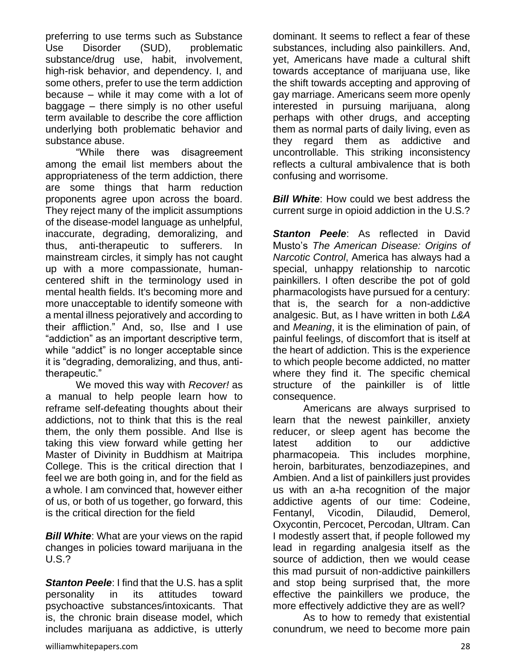preferring to use terms such as Substance Use Disorder (SUD), problematic substance/drug use, habit, involvement, high-risk behavior, and dependency. I, and some others, prefer to use the term addiction because – while it may come with a lot of baggage – there simply is no other useful term available to describe the core affliction underlying both problematic behavior and substance abuse.

"While there was disagreement among the email list members about the appropriateness of the term addiction, there are some things that harm reduction proponents agree upon across the board. They reject many of the implicit assumptions of the disease-model language as unhelpful, inaccurate, degrading, demoralizing, and thus, anti-therapeutic to sufferers. In mainstream circles, it simply has not caught up with a more compassionate, humancentered shift in the terminology used in mental health fields. It's becoming more and more unacceptable to identify someone with a mental illness pejoratively and according to their affliction." And, so, Ilse and I use "addiction" as an important descriptive term, while "addict" is no longer acceptable since it is "degrading, demoralizing, and thus, antitherapeutic."

We moved this way with *Recover!* as a manual to help people learn how to reframe self-defeating thoughts about their addictions, not to think that this is the real them, the only them possible. And Ilse is taking this view forward while getting her Master of Divinity in Buddhism at Maitripa College. This is the critical direction that I feel we are both going in, and for the field as a whole. I am convinced that, however either of us, or both of us together, go forward, this is the critical direction for the field

*Bill White*: What are your views on the rapid changes in policies toward marijuana in the U.S.?

*Stanton Peele*: I find that the U.S. has a split personality in its attitudes toward psychoactive substances/intoxicants. That is, the chronic brain disease model, which includes marijuana as addictive, is utterly dominant. It seems to reflect a fear of these substances, including also painkillers. And, yet, Americans have made a cultural shift towards acceptance of marijuana use, like the shift towards accepting and approving of gay marriage. Americans seem more openly interested in pursuing marijuana, along perhaps with other drugs, and accepting them as normal parts of daily living, even as they regard them as addictive and uncontrollable. This striking inconsistency reflects a cultural ambivalence that is both confusing and worrisome.

*Bill White:* How could we best address the current surge in opioid addiction in the U.S.?

*Stanton Peele:* As reflected in David Musto's *The American Disease: Origins of Narcotic Control*, America has always had a special, unhappy relationship to narcotic painkillers. I often describe the pot of gold pharmacologists have pursued for a century: that is, the search for a non-addictive analgesic. But, as I have written in both *L&A* and *Meaning*, it is the elimination of pain, of painful feelings, of discomfort that is itself at the heart of addiction. This is the experience to which people become addicted, no matter where they find it. The specific chemical structure of the painkiller is of little consequence.

Americans are always surprised to learn that the newest painkiller, anxiety reducer, or sleep agent has become the latest addition to our addictive pharmacopeia. This includes morphine, heroin, barbiturates, benzodiazepines, and Ambien. And a list of painkillers just provides us with an a-ha recognition of the major addictive agents of our time: Codeine, Fentanyl, Vicodin, Dilaudid, Demerol, Oxycontin, Percocet, Percodan, Ultram. Can I modestly assert that, if people followed my lead in regarding analgesia itself as the source of addiction, then we would cease this mad pursuit of non-addictive painkillers and stop being surprised that, the more effective the painkillers we produce, the more effectively addictive they are as well?

As to how to remedy that existential conundrum, we need to become more pain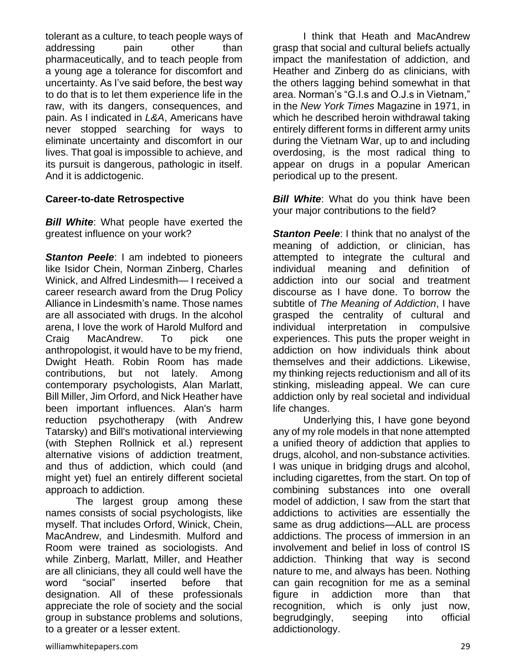tolerant as a culture, to teach people ways of addressing pain other than pharmaceutically, and to teach people from a young age a tolerance for discomfort and uncertainty. As I've said before, the best way to do that is to let them experience life in the raw, with its dangers, consequences, and pain. As I indicated in *L&A*, Americans have never stopped searching for ways to eliminate uncertainty and discomfort in our lives. That goal is impossible to achieve, and its pursuit is dangerous, pathologic in itself. And it is addictogenic.

#### **Career-to-date Retrospective**

*Bill White:* What people have exerted the greatest influence on your work?

**Stanton Peele:** I am indebted to pioneers like Isidor Chein, Norman Zinberg, Charles Winick, and Alfred Lindesmith— I received a career research award from the Drug Policy Alliance in Lindesmith's name. Those names are all associated with drugs. In the alcohol arena, I love the work of Harold Mulford and Craig MacAndrew. To pick one anthropologist, it would have to be my friend, Dwight Heath. Robin Room has made contributions, but not lately. Among contemporary psychologists, Alan Marlatt, Bill Miller, Jim Orford, and Nick Heather have been important influences. Alan's harm reduction psychotherapy (with Andrew Tatarsky) and Bill's motivational interviewing (with Stephen Rollnick et al.) represent alternative visions of addiction treatment, and thus of addiction, which could (and might yet) fuel an entirely different societal approach to addiction.

The largest group among these names consists of social psychologists, like myself. That includes Orford, Winick, Chein, MacAndrew, and Lindesmith. Mulford and Room were trained as sociologists. And while Zinberg, Marlatt, Miller, and Heather are all clinicians, they all could well have the word "social" inserted before that designation. All of these professionals appreciate the role of society and the social group in substance problems and solutions, to a greater or a lesser extent.

I think that Heath and MacAndrew grasp that social and cultural beliefs actually impact the manifestation of addiction, and Heather and Zinberg do as clinicians, with the others lagging behind somewhat in that area. Norman's "G.I.s and O.J.s in Vietnam," in the *New York Times* Magazine in 1971, in which he described heroin withdrawal taking entirely different forms in different army units during the Vietnam War, up to and including overdosing, is the most radical thing to appear on drugs in a popular American periodical up to the present.

*Bill White*: What do you think have been your major contributions to the field?

**Stanton Peele:** I think that no analyst of the meaning of addiction, or clinician, has attempted to integrate the cultural and individual meaning and definition of addiction into our social and treatment discourse as I have done. To borrow the subtitle of *The Meaning of Addiction*, I have grasped the centrality of cultural and individual interpretation in compulsive experiences. This puts the proper weight in addiction on how individuals think about themselves and their addictions. Likewise, my thinking rejects reductionism and all of its stinking, misleading appeal. We can cure addiction only by real societal and individual life changes.

Underlying this, I have gone beyond any of my role models in that none attempted a unified theory of addiction that applies to drugs, alcohol, and non-substance activities. I was unique in bridging drugs and alcohol, including cigarettes, from the start. On top of combining substances into one overall model of addiction, I saw from the start that addictions to activities are essentially the same as drug addictions—ALL are process addictions. The process of immersion in an involvement and belief in loss of control IS addiction. Thinking that way is second nature to me, and always has been. Nothing can gain recognition for me as a seminal figure in addiction more than that recognition, which is only just now, begrudgingly, seeping into official addictionology.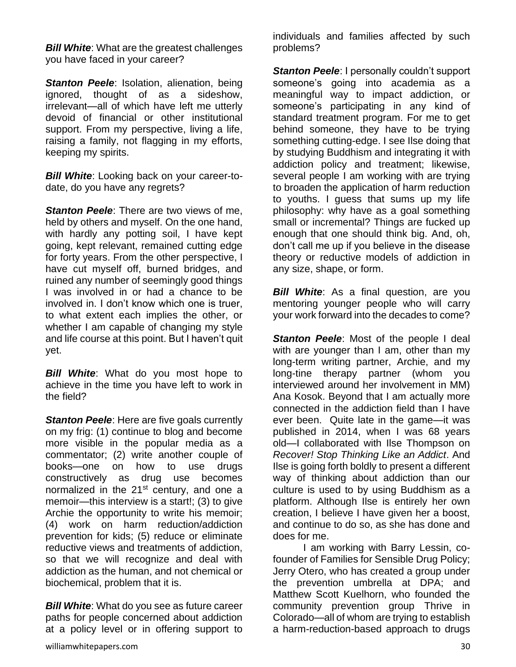*Bill White:* What are the greatest challenges you have faced in your career?

**Stanton Peele:** Isolation, alienation, being ignored, thought of as a sideshow, irrelevant—all of which have left me utterly devoid of financial or other institutional support. From my perspective, living a life, raising a family, not flagging in my efforts, keeping my spirits.

*Bill White*: Looking back on your career-todate, do you have any regrets?

*Stanton Peele*: There are two views of me, held by others and myself. On the one hand, with hardly any potting soil, I have kept going, kept relevant, remained cutting edge for forty years. From the other perspective, I have cut myself off, burned bridges, and ruined any number of seemingly good things I was involved in or had a chance to be involved in. I don't know which one is truer, to what extent each implies the other, or whether I am capable of changing my style and life course at this point. But I haven't quit yet.

**Bill White:** What do you most hope to achieve in the time you have left to work in the field?

**Stanton Peele**: Here are five goals currently on my frig: (1) continue to blog and become more visible in the popular media as a commentator; (2) write another couple of books—one on how to use drugs constructively as drug use becomes normalized in the  $21<sup>st</sup>$  century, and one a memoir—this interview is a start!; (3) to give Archie the opportunity to write his memoir; (4) work on harm reduction/addiction prevention for kids; (5) reduce or eliminate reductive views and treatments of addiction, so that we will recognize and deal with addiction as the human, and not chemical or biochemical, problem that it is.

*Bill White*: What do you see as future career paths for people concerned about addiction at a policy level or in offering support to

individuals and families affected by such problems?

*Stanton Peele: I personally couldn't support* someone's going into academia as a meaningful way to impact addiction, or someone's participating in any kind of standard treatment program. For me to get behind someone, they have to be trying something cutting-edge. I see Ilse doing that by studying Buddhism and integrating it with addiction policy and treatment; likewise, several people I am working with are trying to broaden the application of harm reduction to youths. I guess that sums up my life philosophy: why have as a goal something small or incremental? Things are fucked up enough that one should think big. And, oh, don't call me up if you believe in the disease theory or reductive models of addiction in any size, shape, or form.

*Bill White*: As a final question, are you mentoring younger people who will carry your work forward into the decades to come?

**Stanton Peele:** Most of the people I deal with are younger than I am, other than my long-term writing partner, Archie, and my long-tine therapy partner (whom you interviewed around her involvement in MM) Ana Kosok. Beyond that I am actually more connected in the addiction field than I have ever been. Quite late in the game—it was published in 2014, when I was 68 years old—I collaborated with Ilse Thompson on *Recover! Stop Thinking Like an Addict*. And Ilse is going forth boldly to present a different way of thinking about addiction than our culture is used to by using Buddhism as a platform. Although Ilse is entirely her own creation, I believe I have given her a boost, and continue to do so, as she has done and does for me.

I am working with Barry Lessin, cofounder of Families for Sensible Drug Policy; Jerry Otero, who has created a group under the prevention umbrella at DPA; and Matthew Scott Kuelhorn, who founded the community prevention group Thrive in Colorado—all of whom are trying to establish a harm-reduction-based approach to drugs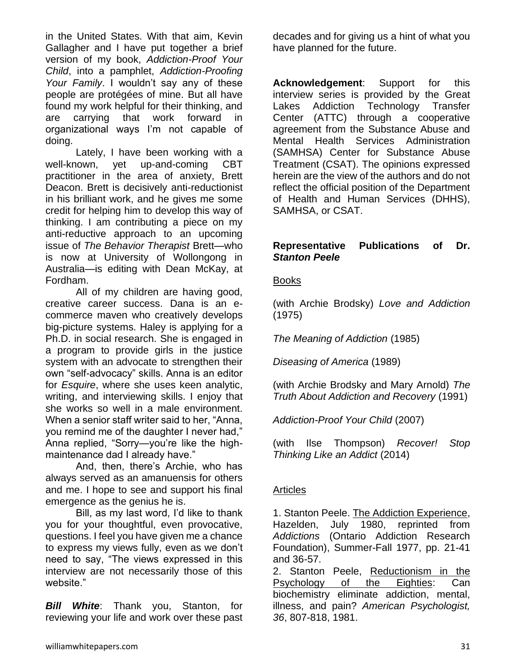in the United States. With that aim, Kevin Gallagher and I have put together a brief version of my book, *Addiction-Proof Your Child*, into a pamphlet, *Addiction-Proofing Your Family*. I wouldn't say any of these people are protégées of mine. But all have found my work helpful for their thinking, and are carrying that work forward in organizational ways I'm not capable of doing.

Lately, I have been working with a well-known, yet up-and-coming CBT practitioner in the area of anxiety, Brett Deacon. Brett is decisively anti-reductionist in his brilliant work, and he gives me some credit for helping him to develop this way of thinking. I am contributing a piece on my anti-reductive approach to an upcoming issue of *The Behavior Therapist* Brett—who is now at University of Wollongong in Australia—is editing with Dean McKay, at Fordham.

All of my children are having good, creative career success. Dana is an ecommerce maven who creatively develops big-picture systems. Haley is applying for a Ph.D. in social research. She is engaged in a program to provide girls in the justice system with an advocate to strengthen their own "self-advocacy" skills. Anna is an editor for *Esquire*, where she uses keen analytic, writing, and interviewing skills. I enjoy that she works so well in a male environment. When a senior staff writer said to her, "Anna, you remind me of the daughter I never had," Anna replied, "Sorry—you're like the highmaintenance dad I already have."

And, then, there's Archie, who has always served as an amanuensis for others and me. I hope to see and support his final emergence as the genius he is.

Bill, as my last word, I'd like to thank you for your thoughtful, even provocative, questions. I feel you have given me a chance to express my views fully, even as we don't need to say, "The views expressed in this interview are not necessarily those of this website."

*Bill White*: Thank you, Stanton, for reviewing your life and work over these past decades and for giving us a hint of what you have planned for the future.

**Acknowledgement**: Support for this interview series is provided by the Great Lakes Addiction Technology Transfer Center (ATTC) through a cooperative agreement from the Substance Abuse and Mental Health Services Administration (SAMHSA) Center for Substance Abuse Treatment (CSAT). The opinions expressed herein are the view of the authors and do not reflect the official position of the Department of Health and Human Services (DHHS), SAMHSA, or CSAT.

#### **Representative Publications of Dr.**  *Stanton Peele*

#### Books

(with Archie Brodsky) *Love and Addiction* (1975)

*The Meaning of Addiction* (1985)

*Diseasing of America* (1989)

(with Archie Brodsky and Mary Arnold) *The Truth About Addiction and Recovery* (1991)

*Addiction-Proof Your Child* (2007)

(with Ilse Thompson) *Recover! Stop Thinking Like an Addict* (2014)

#### **Articles**

1. Stanton Peele. [The Addiction Experience,](http://www.peele.net/lib/addexp.html) Hazelden, July 1980, reprinted from *Addictions* (Ontario Addiction Research Foundation), Summer-Fall 1977, pp. 21-41 and 36-57.

2. Stanton Peele, [Reductionism in the](http://www.peele.net/lib/reduct.html)  [Psychology of the Eighties:](http://www.peele.net/lib/reduct.html) Can biochemistry eliminate addiction, mental, illness, and pain? *American Psychologist, 36*, 807-818, 1981.